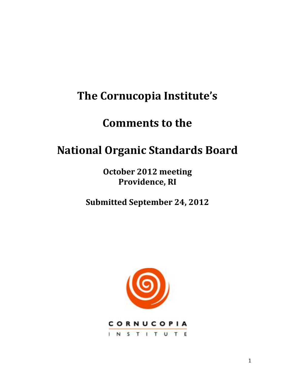# **The Cornucopia Institute's**

# **Comments to the**

# **National!Organic!Standards!Board**

**October 2012 meeting Providence, RI** 

**Submitted September 24, 2012** 

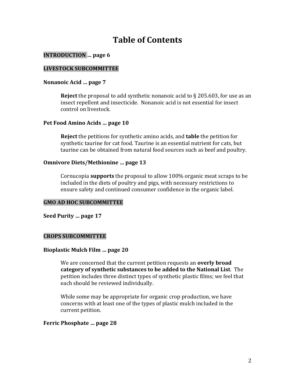# **Table!of!Contents**

#### **INTRODUCTION** ... page 6

#### **LIVESTOCK SUBCOMMITTEE**

#### Nonanoic Acid ... page 7

**Reject** the proposal to add synthetic nonanoic acid to  $\S$  205.603, for use as an insect repellent and insecticide. Nonanoic acid is not essential for insect control on livestock.

#### Pet Food Amino Acids ... page 10

**Reject** the petitions for synthetic amino acids, and **table** the petition for synthetic taurine for cat food. Taurine is an essential nutrient for cats, but taurine can be obtained from natural food sources such as beef and poultry.

#### **Omnivore Diets/Methionine ... page 13**

Cornucopia **supports** the proposal to allow 100% organic meat scraps to be included in the diets of poultry and pigs, with necessary restrictions to ensure safety and continued consumer confidence in the organic label.

#### **GMO!AD!HOC SUBCOMMITTEE**

Seed Purity ... page 17

#### **CROPS SUBCOMMITTEE**

#### **Bioplastic Mulch Film ... page 20**

We are concerned that the current petition requests an **overly broad category of synthetic substances to be added to the National List**. The petition includes three distinct types of synthetic plastic films; we feel that each should be reviewed individually.

While some may be appropriate for organic crop production, we have concerns with at least one of the types of plastic mulch included in the current petition.

#### Ferric Phosphate ... page 28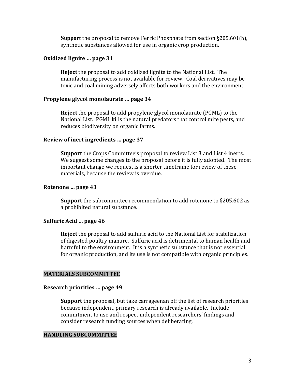**Support** the proposal to remove Ferric Phosphate from section §205.601(h), synthetic substances allowed for use in organic crop production.

#### **Oxidized lignite ... page 31**

**Reject** the proposal to add oxidized lignite to the National List. The manufacturing process is not available for review. Coal derivatives may be toxic and coal mining adversely affects both workers and the environment.

#### **Propylene glycol monolaurate ... page 34**

**Reject** the proposal to add propylene glycol monolaurate (PGML) to the National List. PGML kills the natural predators that control mite pests, and reduces biodiversity on organic farms.

#### Review of inert ingredients ... page 37

**Support** the Crops Committee's proposal to review List 3 and List 4 inerts. We suggest some changes to the proposal before it is fully adopted. The most important change we request is a shorter timeframe for review of these materials, because the review is overdue.

#### Rotenone ... page 43

**Support** the subcommittee recommendation to add rotenone to §205.602 as a prohibited natural substance.

#### **Sulfuric Acid ... page 46**

**Reject** the proposal to add sulfuric acid to the National List for stabilization of digested poultry manure. Sulfuric acid is detrimental to human health and harmful to the environment. It is a synthetic substance that is not essential for organic production, and its use is not compatible with organic principles.

#### **MATERIALS SUBCOMMITTEE**

#### **Research priorities ... page 49**

**Support** the proposal, but take carrageenan off the list of research priorities because independent, primary research is already available. Include commitment to use and respect independent researchers' findings and consider research funding sources when deliberating.

#### **HANDLING SUBCOMMITTEE**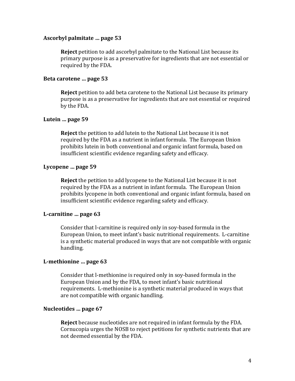#### **Ascorbyl!palmitate!…!page!53**

**Reject** petition to add ascorbyl palmitate to the National List because its primary purpose is as a preservative for ingredients that are not essential or required by the FDA.

#### Beta carotene ... page 53

**Reject** petition to add beta carotene to the National List because its primary purpose is as a preservative for ingredients that are not essential or required by the FDA.

#### Lutein ... page 59

**Reject** the petition to add lutein to the National List because it is not required by the FDA as a nutrient in infant formula. The European Union prohibits lutein in both conventional and organic infant formula, based on insufficient scientific evidence regarding safety and efficacy.

#### Lycopene ... page 59

**Reject** the petition to add lycopene to the National List because it is not required by the FDA as a nutrient in infant formula. The European Union prohibits lycopene in both conventional and organic infant formula, based on insufficient scientific evidence regarding safety and efficacy.

#### L-carnitine ... page 63

Consider that l-carnitine is required only in soy-based formula in the European Union, to meet infant's basic nutritional requirements. L-carnitine is a synthetic material produced in ways that are not compatible with organic handling.

#### L-methionine ... page 63

Consider that l-methionine is required only in soy-based formula in the European Union and by the FDA, to meet infant's basic nutritional requirements. L-methionine is a synthetic material produced in ways that are not compatible with organic handling.

#### Nucleotides ... page 67

**Reject** because nucleotides are not required in infant formula by the FDA. Cornucopia urges the NOSB to reject petitions for synthetic nutrients that are not deemed essential by the FDA.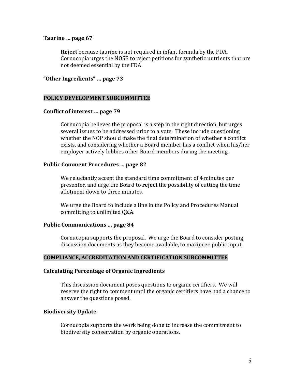#### Taurine ... page 67

**Reject** because taurine is not required in infant formula by the FDA. Cornucopia urges the NOSB to reject petitions for synthetic nutrients that are not deemed essential by the FDA.

#### "Other Ingredients" ... page 73

#### POLICY DEVELOPMENT SUBCOMMITTEE

#### **Conflict of interest ... page 79**

Cornucopia believes the proposal is a step in the right direction, but urges several issues to be addressed prior to a vote. These include questioning whether the NOP should make the final determination of whether a conflict exists, and considering whether a Board member has a conflict when his/her employer actively lobbies other Board members during the meeting.

#### **Public Comment Procedures ... page 82**

We reluctantly accept the standard time commitment of 4 minutes per presenter, and urge the Board to **reject** the possibility of cutting the time allotment down to three minutes.

We urge the Board to include a line in the Policy and Procedures Manual committing to unlimited Q&A.

#### **Public Communications ... page 84**

Cornucopia supports the proposal. We urge the Board to consider posting discussion documents as they become available, to maximize public input.

#### **COMPLIANCE, ACCREDITATION AND CERTIFICATION SUBCOMMITTEE**

#### **Calculating Percentage of Organic Ingredients**

This discussion document poses questions to organic certifiers. We will reserve the right to comment until the organic certifiers have had a chance to answer the questions posed.

#### **Biodiversity!Update**

Cornucopia supports the work being done to increase the commitment to biodiversity conservation by organic operations.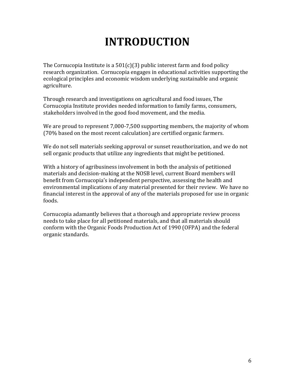# **INTRODUCTION**

The Cornucopia Institute is a  $501(c)(3)$  public interest farm and food policy research organization. Cornucopia engages in educational activities supporting the ecological principles and economic wisdom underlying sustainable and organic agriculture.

Through research and investigations on agricultural and food issues, The Cornucopia Institute provides needed information to family farms, consumers, stakeholders involved in the good food movement, and the media.

We are proud to represent 7,000-7,500 supporting members, the majority of whom  $(70\%$  based on the most recent calculation) are certified organic farmers.

We do not sell materials seeking approval or sunset reauthorization, and we do not sell organic products that utilize any ingredients that might be petitioned.

With a history of agribusiness involvement in both the analysis of petitioned materials and decision-making at the NOSB level, current Board members will benefit from Cornucopia's independent perspective, assessing the health and environmental implications of any material presented for their review. We have no financial interest in the approval of any of the materials proposed for use in organic foods.

Cornucopia adamantly believes that a thorough and appropriate review process needs to take place for all petitioned materials, and that all materials should conform with the Organic Foods Production Act of 1990 (OFPA) and the federal organic standards.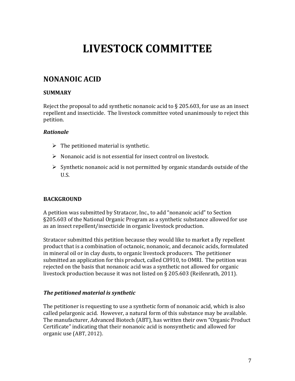# **LIVESTOCK!COMMITTEE**

# **NONANOIC!ACID**

## **SUMMARY**

Reject the proposal to add synthetic nonanoic acid to  $\S$  205.603, for use as an insect repellent and insecticide. The livestock committee voted unanimously to reject this petition.

### *Rationale*

- $\triangleright$  The petitioned material is synthetic.
- $\triangleright$  Nonanoic acid is not essential for insect control on livestock.
- $\triangleright$  Synthetic nonanoic acid is not permitted by organic standards outside of the U.S.

# **BACKGROUND**

A petition was submitted by Stratacor, Inc., to add "nonanoic acid" to Section §205.603 of the National Organic Program as a synthetic substance allowed for use as an insect repellent/insecticide in organic livestock production.

Stratacor submitted this petition because they would like to market a fly repellent product that is a combination of octanoic, nonanoic, and decanoic acids, formulated in mineral oil or in clay dusts, to organic livestock producers. The petitioner submitted an application for this product, called C8910, to OMRI. The petition was rejected on the basis that nonanoic acid was a synthetic not allowed for organic livestock production because it was not listed on  $\S$  205.603 (Reifenrath, 2011).

#### *The petitioned material is synthetic*

The petitioner is requesting to use a synthetic form of nonanoic acid, which is also called pelargonic acid. However, a natural form of this substance may be available. The manufacturer, Advanced Biotech (ABT), has written their own "Organic Product Certificate" indicating that their nonanoic acid is nonsynthetic and allowed for organic use (ABT, 2012).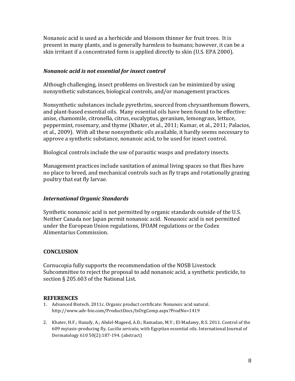Nonanoic acid is used as a herbicide and blossom thinner for fruit trees. It is present in many plants, and is generally harmless to humans; however, it can be a skin irritant if a concentrated form is applied directly to skin (U.S. EPA 2000).

#### *Nonanoic)acid)is)not)essential)for)insect)control*

Although challenging, insect problems on livestock can be minimized by using nonsynthetic substances, biological controls, and/or management practices.

Nonsynthetic substances include pyrethrins, sourced from chrysanthemum flowers, and plant-based essential oils. Many essential oils have been found to be effective: anise, chamomile, citronella, citrus, eucalyptus, geranium, lemongrass, lettuce, peppermint, rosemary, and thyme (Khater, et al., 2011; Kumar, et al., 2011; Palacios, et al., 2009). With all these nonsynthetic oils available, it hardly seems necessary to approve a synthetic substance, nonanoic acid, to be used for insect control.

Biological controls include the use of parasitic wasps and predatory insects.

Management practices include sanitation of animal living spaces so that flies have no place to breed, and mechanical controls such as fly traps and rotationally grazing poultry that eat fly larvae.

#### **International Organic Standards**

Synthetic nonanoic acid is not permitted by organic standards outside of the U.S. Neither Canada nor Japan permit nonanoic acid. Nonanoic acid is not permitted under the European Union regulations, IFOAM regulations or the Codex Alimentarius Commission.

#### **CONCLUSION**

Cornucopia fully supports the recommendation of the NOSB Livestock Subcommittee to reject the proposal to add nonanoic acid, a synthetic pesticide, to section  $\S 205.603$  of the National List.

#### **REFERENCES**

- 1. Advanced Biotech. 2011c. Organic product certificate: Nonanoic acid natural. http://www.adv-bio.com/ProductDocs/IsOrgComp.aspx?ProdNo=1419
- 2. Khater, H.F.; Hanafy, A.; Abdel-Mageed, A.D.; Ramadan, M.Y.; El-Madawy, R.S. 2011. Control of the 609 myiasis-producing fly, *Lucilia sericata*, with Egyptian essential oils. International Journal of Dermatology 610 50(2):187-194. (abstract)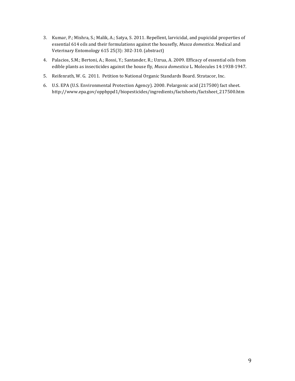- 3. Kumar, P.; Mishra, S.; Malik, A.; Satya, S. 2011. Repellent, larvicidal, and pupicidal properties of essential 614 oils and their formulations against the housefly, *Musca domestica*. Medical and Veterinary Entomology 615 25(3): 302-310. (abstract)
- 4. Palacios, S.M.; Bertoni, A.; Rossi, Y.; Santander, R.; Uzrua, A. 2009. Efficacy of essential oils from edible plants as insecticides against the house fly, *Musca domestica* L. Molecules 14:1938-1947.
- 5. Reifenrath, W. G. 2011. Petition to National Organic Standards Board. Stratacor, Inc.
- 6. U.S. EPA (U.S. Environmental Protection Agency). 2000. Pelargonic acid (217500) fact sheet. http://www.epa.gov/oppbppd1/biopesticides/ingredients/factsheets/factsheet\_217500.htm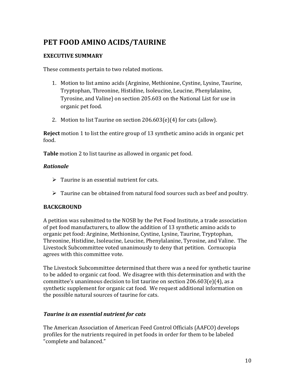# PET FOOD AMINO ACIDS/TAURINE

### **EXECUTIVE SUMMARY**

These comments pertain to two related motions.

- 1. Motion to list amino acids (Arginine, Methionine, Cystine, Lysine, Taurine, Tryptophan, Threonine, Histidine, Isoleucine, Leucine, Phenylalanine, Tyrosine, and Valine) on section 205.603 on the National List for use in organic pet food.
- 2. Motion to list Taurine on section  $206.603(e)(4)$  for cats (allow).

**Reject** motion 1 to list the entire group of 13 synthetic amino acids in organic pet food.

**Table** motion 2 to list taurine as allowed in organic pet food.

### *Rationale*

- $\triangleright$  Taurine is an essential nutrient for cats.
- $\triangleright$  Taurine can be obtained from natural food sources such as beef and poultry.

#### **BACKGROUND**

A petition was submitted to the NOSB by the Pet Food Institute, a trade association of pet food manufacturers, to allow the addition of 13 synthetic amino acids to organic pet food: Arginine, Methionine, Cystine, Lysine, Taurine, Tryptophan, Threonine, Histidine, Isoleucine, Leucine, Phenylalanine, Tyrosine, and Valine. The Livestock Subcommittee voted unanimously to deny that petition. Cornucopia agrees with this committee vote.

The Livestock Subcommittee determined that there was a need for synthetic taurine to be added to organic cat food. We disagree with this determination and with the committee's unanimous decision to list taurine on section  $206.603(e)(4)$ , as a synthetic supplement for organic cat food. We request additional information on the possible natural sources of taurine for cats.

#### *Taurine is an essential nutrient for cats*

The American Association of American Feed Control Officials (AAFCO) develops profiles for the nutrients required in pet foods in order for them to be labeled "complete and balanced."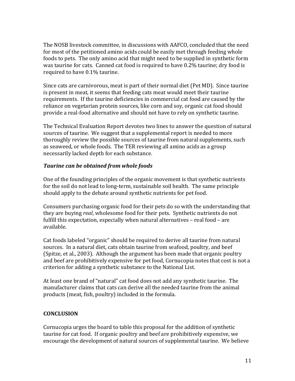The NOSB livestock committee, in discussions with AAFCO, concluded that the need for most of the petitioned amino acids could be easily met through feeding whole foods to pets. The only amino acid that might need to be supplied in synthetic form was taurine for cats. Canned cat food is required to have 0.2% taurine; dry food is required to have 0.1% taurine.

Since cats are carnivorous, meat is part of their normal diet (Pet MD). Since taurine is present in meat, it seems that feeding cats meat would meet their taurine requirements. If the taurine deficiencies in commercial cat food are caused by the reliance on vegetarian protein sources, like corn and soy, organic cat food should provide a real-food alternative and should not have to rely on synthetic taurine.

The Technical Evaluation Report devotes two lines to answer the question of natural sources of taurine. We suggest that a supplemental report is needed to more thoroughly review the possible sources of taurine from natural supplements, such as seaweed, or whole foods. The TER reviewing all amino acids as a group necessarily lacked depth for each substance.

# *Taurine can be obtained from whole foods*

One of the founding principles of the organic movement is that synthetic nutrients for the soil do not lead to long-term, sustainable soil health. The same principle should apply to the debate around synthetic nutrients for pet food.

Consumers purchasing organic food for their pets do so with the understanding that they are buying *real*, wholesome food for their pets. Synthetic nutrients do not fulfill this expectation, especially when natural alternatives – real food – are available.

Cat foods labeled "organic" should be required to derive all taurine from natural sources. In a natural diet, cats obtain taurine from seafood, poultry, and beef (Spitze, et al., 2003). Although the argument has been made that organic poultry and beef are prohibitively expensive for pet food, Cornucopia notes that cost is not a criterion for adding a synthetic substance to the National List.

At least one brand of "natural" cat food does not add any synthetic taurine. The manufacturer claims that cats can derive all the needed taurine from the animal products (meat, fish, poultry) included in the formula.

# **CONCLUSION**

Cornucopia urges the board to table this proposal for the addition of synthetic taurine for cat food. If organic poultry and beef are prohibitively expensive, we encourage the development of natural sources of supplemental taurine. We believe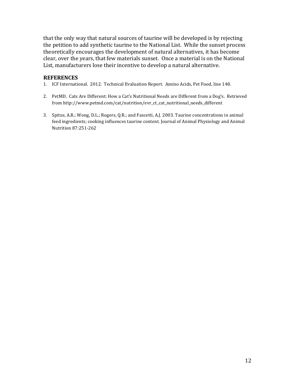that the only way that natural sources of taurine will be developed is by rejecting the petition to add synthetic taurine to the National List. While the sunset process theoretically encourages the development of natural alternatives, it has become clear, over the years, that few materials sunset. Once a material is on the National List, manufacturers lose their incentive to develop a natural alternative.

#### **REFERENCES**

- 1. ICF International. 2012. Technical Evaluation Report. Amino Acids, Pet Food, line 148.
- 2. PetMD. Cats Are Different: How a Cat's Nutritional Needs are Different from a Dog's. Retrieved from!http://www.petmd.com/cat/nutrition/evr\_ct\_cat\_nutritional\_needs\_different
- 3. Spitze, A.R.; Wong, D.L.; Rogers, Q.R.; and Fascetti, A.J. 2003. Taurine concentrations in animal feed ingredients; cooking influences taurine content. Journal of Animal Physiology and Animal Nutrition 87:251-262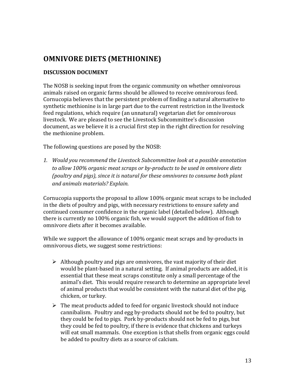# **OMNIVORE DIETS (METHIONINE)**

## **DISCUSSION!DOCUMENT**

The NOSB is seeking input from the organic community on whether omnivorous animals raised on organic farms should be allowed to receive omnivorous feed. Cornucopia believes that the persistent problem of finding a natural alternative to synthetic methionine is in large part due to the current restriction in the livestock feed regulations, which require (an unnatural) vegetarian diet for omnivorous livestock. We are pleased to see the Livestock Subcommittee's discussion document, as we believe it is a crucial first step in the right direction for resolving the methionine problem.

The following questions are posed by the NOSB:

*1. Would'you'recommend'the'Livestock'Subcommittee'look'at'a'possible'annotation'* to allow 100% organic meat scraps or by-products to be used in omnivore diets *(poultry'and'pigs),'since'it'is'natural'for'these'omnivores'to'consume'both'plant' and'animals'materials?'Explain.'*

Cornucopia supports the proposal to allow 100% organic meat scraps to be included in the diets of poultry and pigs, with necessary restrictions to ensure safety and continued consumer confidence in the organic label (detailed below). Although there is currently no 100% organic fish, we would support the addition of fish to omnivore diets after it becomes available.

While we support the allowance of  $100\%$  organic meat scraps and by-products in omnivorous diets, we suggest some restrictions:

- $\triangleright$  Although poultry and pigs are omnivores, the vast majority of their diet would be plant-based in a natural setting. If animal products are added, it is essential that these meat scraps constitute only a small percentage of the animal's diet. This would require research to determine an appropriate level of animal products that would be consistent with the natural diet of the pig, chicken, or turkey.
- $\triangleright$  The meat products added to feed for organic livestock should not induce cannibalism. Poultry and egg by-products should not be fed to poultry, but they could be fed to pigs. Pork by-products should not be fed to pigs, but they could be fed to poultry, if there is evidence that chickens and turkeys will eat small mammals. One exception is that shells from organic eggs could be added to poultry diets as a source of calcium.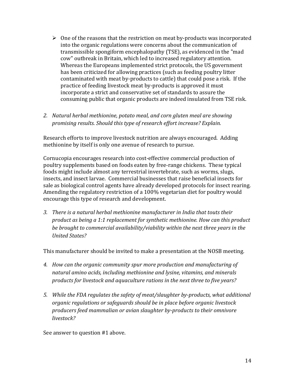- $\triangleright$  One of the reasons that the restriction on meat by-products was incorporated into the organic regulations were concerns about the communication of transmissible spongiform encephalopathy (TSE), as evidenced in the "mad cow" outbreak in Britain, which led to increased regulatory attention. Whereas the Europeans implemented strict protocols, the US government has been criticized for allowing practices (such as feeding poultry litter contaminated with meat by-products to cattle) that could pose a risk. If the practice of feeding livestock meat by-products is approved it must incorporate a strict and conservative set of standards to assure the consuming public that organic products are indeed insulated from TSE risk.
- 2. Natural herbal methionine, potato meal, and corn gluten meal are showing *promising'results.'Should'this'type'of'research'effort'increase?'Explain.*

Research efforts to improve livestock nutrition are always encouraged. Adding methionine by itself is only one avenue of research to pursue.

Cornucopia encourages research into cost-effective commercial production of poultry supplements based on foods eaten by free-range chickens. These typical foods might include almost any terrestrial invertebrate, such as worms, slugs, insects, and insect larvae. Commercial businesses that raise beneficial insects for sale as biological control agents have already developed protocols for insect rearing. Amending the regulatory restriction of a 100% vegetarian diet for poultry would encourage this type of research and development.

*3. There'is'a'natural'herbal'methionine'manufacturer'in'India'that'touts'their' product'as'being'a'1:1'replacement'for'synthetic'methionine.'How'can'this'product'* be brought to commercial availability/viability within the next three years in the *United'States?'*

This manufacturer should be invited to make a presentation at the NOSB meeting.

- *4. How'can'the'organic'community'spur'more'production'and'manufacturing'of' natural'amino'acids,'including'methionine'and'lysine,'vitamins,'and'minerals' products'for'livestock'and'aquaculture'rations'in'the'next'three'to'five'years?'*
- 5. While the FDA regulates the safety of meat/slaughter by-products, what additional *organic'regulations'or'safeguards'should'be'in'place'before'organic'livestock' producers'feed'mammalian'or'avian'slaughter'by?products'to'their'omnivore' livestock?'*

See answer to question #1 above.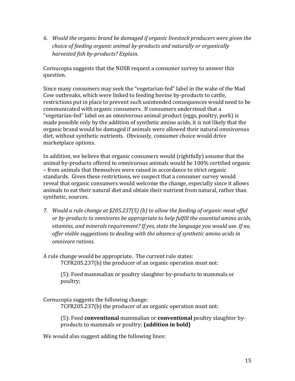*6. Would'the'organic'brand'be'damaged'if'organic'livestock'producers'were'given'the'* choice of feeding organic animal by-products and naturally or organically *harvested'fish'by?products?'Explain.'*

Cornucopia suggests that the NOSB request a consumer survey to answer this question.

Since many consumers may seek the "vegetarian-fed" label in the wake of the Mad Cow outbreaks, which were linked to feeding bovine by-products to cattle, restrictions put in place to prevent such unintended consequences would need to be communicated with organic consumers. If consumers understood that a "vegetarian-fed" label on an omnivorous animal product (eggs, poultry, pork) is made possible only by the addition of synthetic amino acids, it is not likely that the organic brand would be damaged if animals were allowed their natural omnivorous diet, without synthetic nutrients. Obviously, consumer choice would drive marketplace options.

In addition, we believe that organic consumers would (rightfully) assume that the animal by-products offered to omnivorous animals would be 100% certified organic – from animals that themselves were raised in accordance to strict organic standards. Given these restrictions, we suspect that a consumer survey would reveal that organic consumers would welcome the change, especially since it allows animals to eat their natural diet and obtain their nutrient from natural, rather than synthetic, sources.

*7. Would a rule change at §205.237(5) (b) to allow the feeding of organic meat offal* or by-products to omnivores be appropriate to help fulfill the essential amino acids, vitamins, and minerals requirement? If yes, state the language you would use. If no, *offer'viable'suggestions'to'dealing'with'the'absence'of'synthetic'amino'acids'in' omnivore'rations.*

A rule change would be appropriate. The current rule states: 7CFR205.237(b) the producer of an organic operation must not:

(5): Feed mammalian or poultry slaughter by-products to mammals or poultry;

Cornucopia suggests the following change:

7CFR205.237(b) the producer of an organic operation must not:

(5): Feed **conventional** mammalian or **conventional** poultry slaughter byproducts to mammals or poultry; (addition in bold)

We would also suggest adding the following lines: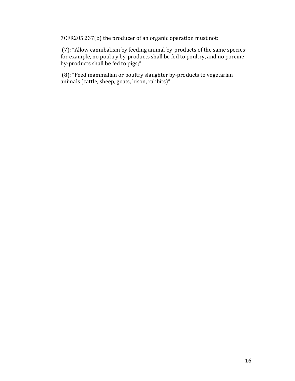7CFR205.237(b) the producer of an organic operation must not:

(7): "Allow cannibalism by feeding animal by-products of the same species; for example, no poultry by-products shall be fed to poultry, and no porcine by-products shall be fed to pigs;"

(8): "Feed mammalian or poultry slaughter by-products to vegetarian animals (cattle, sheep, goats, bison, rabbits)"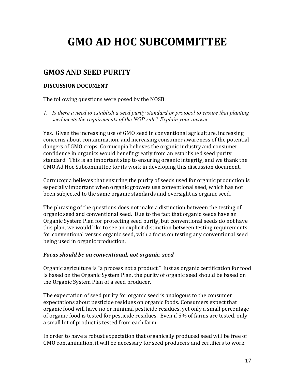# **GMO!AD!HOC!SUBCOMMITTEE**

# **GMOS!AND!SEED!PURITY**

## **DISCUSSION!DOCUMENT**

The following questions were posed by the NOSB:

*1. Is there a need to establish a seed purity standard or protocol to ensure that planting seed meets the requirements of the NOP rule? Explain your answer.* 

Yes. Given the increasing use of GMO seed in conventional agriculture, increasing concerns about contamination, and increasing consumer awareness of the potential dangers of GMO crops, Cornucopia believes the organic industry and consumer confidence in organics would benefit greatly from an established seed purity standard. This is an important step to ensuring organic integrity, and we thank the GMO Ad Hoc Subcommittee for its work in developing this discussion document.

Cornucopia believes that ensuring the purity of seeds used for organic production is especially important when organic growers use conventional seed, which has not been subjected to the same organic standards and oversight as organic seed.

The phrasing of the questions does not make a distinction between the testing of organic seed and conventional seed. Due to the fact that organic seeds have an Organic System Plan for protecting seed purity, but conventional seeds do not have this plan, we would like to see an explicit distinction between testing requirements for conventional versus organic seed, with a focus on testing any conventional seed being used in organic production.

#### *Focus)should)be)on)conventional,)not)organic,)seed*

Organic agriculture is "a process not a product." Just as organic certification for food is based on the Organic System Plan, the purity of organic seed should be based on the Organic System Plan of a seed producer.

The expectation of seed purity for organic seed is analogous to the consumer expectations about pesticide residues on organic foods. Consumers expect that organic food will have no or minimal pesticide residues, yet only a small percentage of organic food is tested for pesticide residues. Even if 5% of farms are tested, only a small lot of product is tested from each farm.

In order to have a robust expectation that organically produced seed will be free of GMO contamination, it will be necessary for seed producers and certifiers to work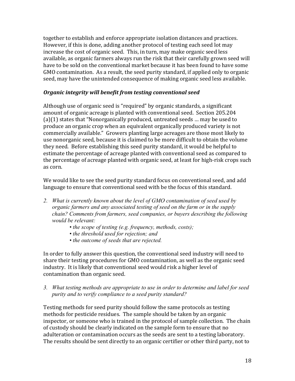together to establish and enforce appropriate isolation distances and practices. However, if this is done, adding another protocol of testing each seed lot may increase the cost of organic seed. This, in turn, may make organic seed less available, as organic farmers always run the risk that their carefully grown seed will have to be sold on the conventional market because it has been found to have some GMO contamination. As a result, the seed purity standard, if applied only to organic seed, may have the unintended consequence of making organic seed less available.

### *Organic integrity will benefit from testing conventional seed*

Although use of organic seed is "required" by organic standards, a significant amount of organic acreage is planted with conventional seed. Section 205.204  $(a)(1)$  states that "Nonorganically produced, untreated seeds ... may be used to produce an organic crop when an equivalent organically produced variety is not commercially available." Growers planting large acreages are those most likely to use nonorganic seed, because it is claimed to be more difficult to obtain the volume they need. Before establishing this seed purity standard, it would be helpful to estimate the percentage of acreage planted with conventional seed as compared to the percentage of acreage planted with organic seed, at least for high-risk crops such as corn.

We would like to see the seed purity standard focus on conventional seed, and add language to ensure that conventional seed with be the focus of this standard.

- *2. What is currently known about the level of GMO contamination of seed used by organic farmers and any associated testing of seed on the farm or in the supply chain? Comments from farmers, seed companies, or buyers describing the following would be relevant:* 
	- *the scope of testing (e.g. frequency, methods, costs);*
	- *the threshold used for rejection; and*
	- *the outcome of seeds that are rejected.*

In order to fully answer this question, the conventional seed industry will need to share their testing procedures for GMO contamination, as well as the organic seed industry. It is likely that conventional seed would risk a higher level of contamination than organic seed.

*3. What testing methods are appropriate to use in order to determine and label for seed purity and to verify compliance to a seed purity standard?* 

Testing methods for seed purity should follow the same protocols as testing methods for pesticide residues. The sample should be taken by an organic inspector, or someone who is trained in the protocol of sample collection. The chain of custody should be clearly indicated on the sample form to ensure that no adulteration or contamination occurs as the seeds are sent to a testing laboratory. The results should be sent directly to an organic certifier or other third party, not to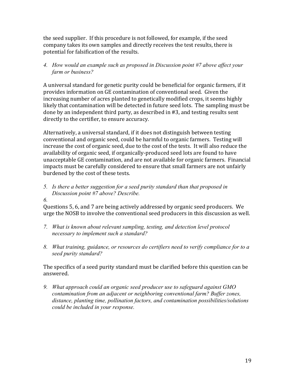the seed supplier. If this procedure is not followed, for example, if the seed company takes its own samples and directly receives the test results, there is potential for falsification of the results.

*4. How would an example such as proposed in Discussion point #7 above affect your farm or business?* 

A universal standard for genetic purity could be beneficial for organic farmers, if it provides information on GE contamination of conventional seed. Given the increasing number of acres planted to genetically modified crops, it seems highly likely that contamination will be detected in future seed lots. The sampling must be done by an independent third party, as described in #3, and testing results sent directly to the certifier, to ensure accuracy.

Alternatively, a universal standard, if it does not distinguish between testing conventional and organic seed, could be harmful to organic farmers. Testing will increase the cost of organic seed, due to the cost of the tests. It will also reduce the availability of organic seed, if organically-produced seed lots are found to have unacceptable GE contamination, and are not available for organic farmers. Financial impacts must be carefully considered to ensure that small farmers are not unfairly burdened by the cost of these tests.

*5. Is there a better suggestion for a seed purity standard than that proposed in Discussion point #7 above? Describe.* 

*6.*

Questions 5, 6, and 7 are being actively addressed by organic seed producers. We urge the NOSB to involve the conventional seed producers in this discussion as well.

- *7. What is known about relevant sampling, testing, and detection level protocol necessary to implement such a standard?*
- *8. What training, guidance, or resources do certifiers need to verify compliance for to a seed purity standard?*

### The specifics of a seed purity standard must be clarified before this question can be answered.

*9. What approach could an organic seed producer use to safeguard against GMO contamination from an adjacent or neighboring conventional farm? Buffer zones, distance, planting time, pollination factors, and contamination possibilities/solutions could be included in your response.*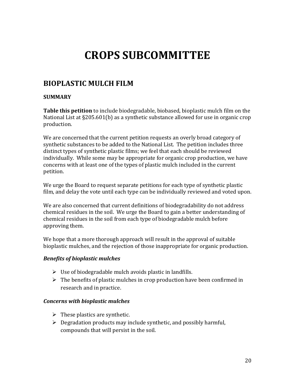# **CROPS!SUBCOMMITTEE**

# **BIOPLASTIC!MULCH!FILM!**

# **SUMMARY**

**Table this petition** to include biodegradable, biobased, bioplastic mulch film on the National List at  $\S205.601(b)$  as a synthetic substance allowed for use in organic crop production.

We are concerned that the current petition requests an overly broad category of synthetic substances to be added to the National List. The petition includes three distinct types of synthetic plastic films; we feel that each should be reviewed individually. While some may be appropriate for organic crop production, we have concerns with at least one of the types of plastic mulch included in the current petition.

We urge the Board to request separate petitions for each type of synthetic plastic film, and delay the vote until each type can be individually reviewed and voted upon.

We are also concerned that current definitions of biodegradability do not address chemical residues in the soil. We urge the Board to gain a better understanding of chemical residues in the soil from each type of biodegradable mulch before approving them.

We hope that a more thorough approach will result in the approval of suitable bioplastic mulches, and the rejection of those inappropriate for organic production.

# *Benefits of bioplastic mulches*

- $\triangleright$  Use of biodegradable mulch avoids plastic in landfills.
- $\triangleright$  The benefits of plastic mulches in crop production have been confirmed in research and in practice.

# *Concerns)with)bioplastic)mulches*

- $\triangleright$  These plastics are synthetic.
- $\triangleright$  Degradation products may include synthetic, and possibly harmful, compounds that will persist in the soil.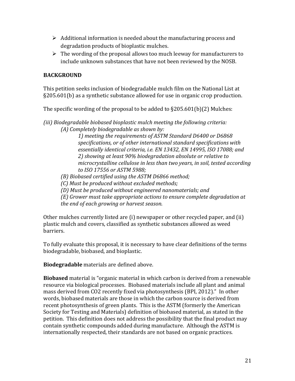- $\triangleright$  Additional information is needed about the manufacturing process and degradation products of bioplastic mulches.
- $\triangleright$  The wording of the proposal allows too much leeway for manufacturers to include unknown substances that have not been reviewed by the NOSB.

# **BACKGROUND**

This petition seeks inclusion of biodegradable mulch film on the National List at  $\S205.601(b)$  as a synthetic substance allowed for use in organic crop production.

The specific wording of the proposal to be added to  $§205.601(b)(2)$  Mulches:

*(iii)'Biodegradable'biobased'bioplastic'mulch'meeting'the'following'criteria: (A)'Completely'biodegradable'as'shown'by:'*

1) meeting the requirements of ASTM Standard D6400 or D6868 *specifications,'or'of'other'international'standard'specifications'with'* essentially identical criteria, i.e. EN 13432, EN 14995, ISO 17088; and *2)'showing'at'least'90%'biodegradation'absolute'or'relative'to'* microcrystalline cellulose in less than two years, in soil, tested according *to'ISO'17556'or'ASTM'5988;'*

# *(B)* Biobased certified using the ASTM D6866 method;

- *(C)'Must'be'produced'without'excluded'methods;'*
- *(D)'Must'be'produced'without'engineered'nanomaterials;'and'*
- *(E)'Grower'must'take'appropriate'actions'to'ensure'complete'degradation'at' the'end'of'each'growing'or'harvest'season.*

Other mulches currently listed are (i) newspaper or other recycled paper, and (ii) plastic mulch and covers, classified as synthetic substances allowed as weed barriers.

To fully evaluate this proposal, it is necessary to have clear definitions of the terms biodegradable, biobased, and bioplastic.

**Biodegradable** materials are defined above.

**Biobased** material is "organic material in which carbon is derived from a renewable resource via biological processes. Biobased materials include all plant and animal mass derived from CO2 recently fixed via photosynthesis (BPI, 2012)." In other words, biobased materials are those in which the carbon source is derived from recent photosynthesis of green plants. This is the ASTM (formerly the American Society for Testing and Materials) definition of biobased material, as stated in the petition. This definition does not address the possibility that the final product may contain synthetic compounds added during manufacture. Although the ASTM is internationally respected, their standards are not based on organic practices.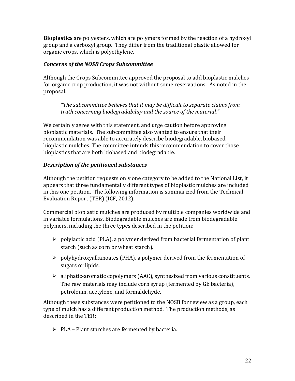**Bioplastics** are polyesters, which are polymers formed by the reaction of a hydroxyl group and a carboxyl group. They differ from the traditional plastic allowed for organic crops, which is polyethylene.

## *Concerns)of)the)NOSB)Crops)Subcommittee*

Although the Crops Subcommittee approved the proposal to add bioplastic mulches for organic crop production, it was not without some reservations. As noted in the proposal:

*"The'subcommittee'believes'that'it'may'be'difficult'to'separate'claims'from' truth'concerning'biodegradability'and'the'source'of'the'material."*

We certainly agree with this statement, and urge caution before approving bioplastic materials. The subcommittee also wanted to ensure that their recommendation was able to accurately describe biodegradable, biobased, bioplastic mulches. The committee intends this recommendation to cover those bioplastics that are both biobased and biodegradable.

# **Description of the petitioned substances**

Although the petition requests only one category to be added to the National List, it appears that three fundamentally different types of bioplastic mulches are included in this one petition. The following information is summarized from the Technical Evaluation Report (TER) (ICF, 2012).

Commercial bioplastic mulches are produced by multiple companies worldwide and in variable formulations. Biodegradable mulches are made from biodegradable polymers, including the three types described in the petition:

- $\triangleright$  polylactic acid (PLA), a polymer derived from bacterial fermentation of plant starch (such as corn or wheat starch).
- $\triangleright$  polyhydroxyalkanoates (PHA), a polymer derived from the fermentation of sugars or lipids.
- $\triangleright$  aliphatic-aromatic copolymers (AAC), synthesized from various constituents. The raw materials may include corn syrup (fermented by GE bacteria), petroleum, acetylene, and formaldehyde.

Although these substances were petitioned to the NOSB for review as a group, each type of mulch has a different production method. The production methods, as described in the TER:

 $\triangleright$  PLA – Plant starches are fermented by bacteria.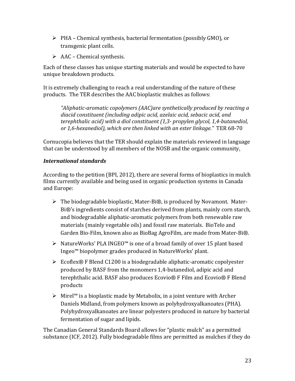- $\triangleright$  PHA Chemical synthesis, bacterial fermentation (possibly GMO), or transgenic plant cells.
- $\triangleright$  AAC Chemical synthesis.

Each of these classes has unique starting materials and would be expected to have unique breakdown products.

It is extremely challenging to reach a real understanding of the nature of these products. The TER describes the AAC bioplastic mulches as follows:

*"Aliphatic?aromatic'copolymers'(AAC)are'synthetically'produced'by'reacting'a' diacid'constituent'(including'adipic'acid,'azelaic'acid,'sebacic'acid,'and'* terephthalic acid) with a diol constituent (1,3- propylen glycol, 1,4-butanediol, *or* 1,6-hexanediol), which are then linked with an ester linkage." TER 68-70

Cornucopia believes that the TER should explain the materials reviewed in language that can be understood by all members of the NOSB and the organic community.

# *International)standards*

According to the petition (BPI, 2012), there are several forms of bioplastics in mulch films currently available and being used in organic production systems in Canada and Europe:

- $\triangleright$  The biodegradable bioplastic, Mater-Bi®, is produced by Novamont. Mater-Bi®'s ingredients consist of starches derived from plants, mainly corn starch, and biodegradable aliphatic-aromatic polymers from both renewable raw materials (mainly vegetable oils) and fossil raw materials. BioTelo and Garden Bio-Film, known also as BioBag AgroFilm, are made from Mater-Bi®.
- $▶$  NatureWorks' PLA INGEO™ is one of a broad family of over 15 plant based Ingeo™ biopolymer grades produced in NatureWorks' plant.
- $\triangleright$  Ecoflex® F Blend C1200 is a biodegradable aliphatic-aromatic copolyester produced by BASF from the monomers 1,4-butanediol, adipic acid and terephthalic acid. BASF also produces Ecovio® F Film and Ecovio® F Blend products
- $\triangleright$  Mirel™ is a bioplastic made by Metabolix, in a joint venture with Archer Daniels Midland, from polymers known as polyhydroxyalkanoates (PHA). Polyhydroxyalkanoates are linear polyesters produced in nature by bacterial fermentation of sugar and lipids.

The Canadian General Standards Board allows for "plastic mulch" as a permitted substance (ICF, 2012). Fully biodegradable films are permitted as mulches if they do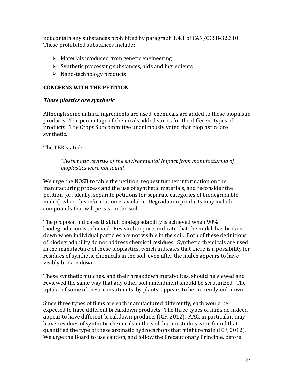not contain any substances prohibited by paragraph 1.4.1 of CAN/CGSB-32.310. These prohibited substances include:

- $\triangleright$  Materials produced from genetic engineering
- $\triangleright$  Synthetic processing substances, aids and ingredients
- $\triangleright$  Nano-technology products

# **CONCERNS WITH THE PETITION**

### *These plastics are synthetic*

Although some natural ingredients are used, chemicals are added to these bioplastic products. The percentage of chemicals added varies for the different types of products. The Crops Subcommittee unanimously voted that bioplastics are synthetic.

The TER stated:

*"Systematic'reviews'of'the'environmental'impact'from'manufacturing'of' bioplastics'were'not'found."''*

We urge the NOSB to table the petition, request further information on the manufacturing process and the use of synthetic materials, and reconsider the petition (or, ideally, separate petitions for separate categories of biodegradable mulch) when this information is available. Degradation products may include compounds that will persist in the soil.

The proposal indicates that full biodegradability is achieved when 90% biodegradation is achieved. Research reports indicate that the mulch has broken down when individual particles are not visible in the soil. Both of these definitions of biodegradability do not address chemical residues. Synthetic chemicals are used in the manufacture of these bioplastics, which indicates that there is a possibility for residues of synthetic chemicals in the soil, even after the mulch appears to have visibly broken down.

These synthetic mulches, and their breakdown metabolites, should be viewed and reviewed the same way that any other soil amendment should be scrutinized. The uptake of some of these constituents, by plants, appears to be currently unknown.

Since three types of films are each manufactured differently, each would be expected to have different breakdown products. The three types of films do indeed appear to have different breakdown products (ICF, 2012). AAC, in particular, may leave residues of synthetic chemicals in the soil, but no studies were found that quantified the type of these aromatic hydrocarbons that might remain (ICF, 2012). We urge the Board to use caution, and follow the Precautionary Principle, before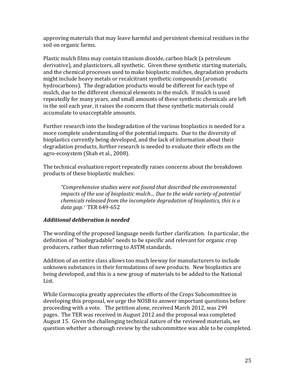approving materials that may leave harmful and persistent chemical residues in the soil on organic farms.

Plastic mulch films may contain titanium dioxide, carbon black (a petroleum derivative), and plasticizers, all synthetic. Given these synthetic starting materials, and the chemical processes used to make bioplastic mulches, degradation products might include heavy metals or recalcitrant synthetic compounds (aromatic hydrocarbons). The degradation products would be different for each type of mulch, due to the different chemical elements in the mulch. If mulch is used repeatedly for many years, and small amounts of these synthetic chemicals are left in the soil each year, it raises the concern that these synthetic materials could accumulate to unacceptable amounts.

Further research into the biodegradation of the various bioplastics is needed for a more complete understanding of the potential impacts. Due to the diversity of bioplastics currently being developed, and the lack of information about their degradation products, further research is needed to evaluate their effects on the agro-ecosystem (Shah et al., 2008).

The technical evaluation report repeatedly raises concerns about the breakdown products of these bioplastic mulches:

*"Comprehensive'studies'were'not'found'that'described'the'environmental' impacts'of'the'use'of'bioplastic mulch…'Due'to'the'wide'variety'of'potential' chemicals'released'from'the'incomplete'degradation'of'bioplastics,'this'is'a'* data gap." TER 649-652

# *Additional)deliberation)is)needed*

The wording of the proposed language needs further clarification. In particular, the definition of "biodegradable" needs to be specific and relevant for organic crop producers, rather than referring to ASTM standards.

Addition of an entire class allows too much leeway for manufacturers to include unknown substances in their formulations of new products. New bioplastics are being developed, and this is a new group of materials to be added to the National List.

While Cornucopia greatly appreciates the efforts of the Crops Subcommittee in developing this proposal, we urge the NOSB to answer important questions before proceeding with a vote. The petition alone, received March 2012, was 299 pages. The TER was received in August 2012 and the proposal was completed August 15. Given the challenging technical nature of the reviewed materials, we question whether a thorough review by the subcommittee was able to be completed.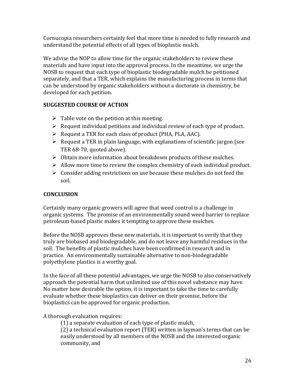Cornucopia researchers certainly feel that more time is needed to fully research and understand the potential effects of all types of bioplastic mulch.

We advise the NOP to allow time for the organic stakeholders to review these materials and have input into the approval process. In the meantime, we urge the NOSB to request that each type of bioplastic biodegradable mulch be petitioned separately, and that a TER, which explains the manufacturing process in terms that can be understood by organic stakeholders without a doctorate in chemistry, be developed for each petition.

# **SUGGESTED COURSE OF ACTION**

- $\triangleright$  Table vote on the petition at this meeting.
- $\triangleright$  Request individual petitions and individual review of each type of product.
- $\triangleright$  Request a TER for each class of product (PHA, PLA, AAC).
- $\triangleright$  Request a TER in plain language, with explanations of scientific jargon (see TER 68-70, quoted above).
- $\triangleright$  Obtain more information about breakdown products of these mulches.
- $\triangleright$  Allow more time to review the complex chemistry of each individual product.
- $\triangleright$  Consider adding restrictions on use because these mulches do not feed the soil.

# **CONCLUSION**

Certainly many organic growers will agree that weed control is a challenge in organic systems. The promise of an environmentally sound weed barrier to replace petroleum-based plastic makes it tempting to approve these mulches.

Before the NOSB approves these new materials, it is important to verify that they truly are biobased and biodegradable, and do not leave any harmful residues in the soil. The benefits of plastic mulches have been confirmed in research and in practice. An environmentally sustainable alternative to non-biodegradable polyethylene plastics is a worthy goal.

In the face of all these potential advantages, we urge the NOSB to also conservatively approach the potential harm that unlimited use of this novel substance may have. No matter how desirable the option, it is important to take the time to carefully evaluate whether these bioplastics can deliver on their promise, before the bioplastics can be approved for organic production.

# A thorough evaluation requires:

 $(1)$  a separate evaluation of each type of plastic mulch,

 $(2)$  a technical evaluation report (TER) written in layman's terms that can be easily understood by all members of the NOSB and the interested organic community, and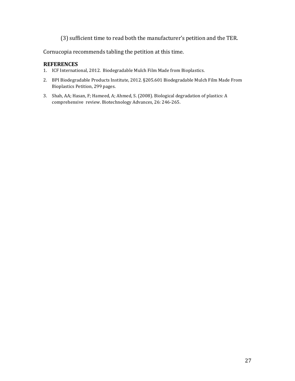(3) sufficient time to read both the manufacturer's petition and the TER.

Cornucopia recommends tabling the petition at this time.

#### **REFERENCES**

- 1. ICF International, 2012. Biodegradable Mulch Film Made from Bioplastics.
- 2. BPI Biodegradable Products Institute, 2012. §205.601 Biodegradable Mulch Film Made From Bioplastics Petition, 299 pages.
- 3. Shah, AA; Hasan, F; Hameed, A; Ahmed, S. (2008). Biological degradation of plastics: A comprehensive review. Biotechnology Advances, 26: 246-265.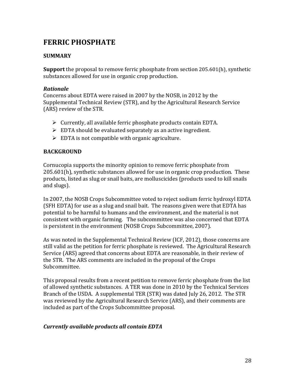# **FERRIC!PHOSPHATE**

# **SUMMARY**

**Support** the proposal to remove ferric phosphate from section 205.601(h), synthetic substances allowed for use in organic crop production.

#### *Rationale*

Concerns about EDTA were raised in 2007 by the NOSB, in 2012 by the Supplemental Technical Review (STR), and by the Agricultural Research Service (ARS) review of the STR.

- $\triangleright$  Currently, all available ferric phosphate products contain EDTA.
- $\triangleright$  EDTA should be evaluated separately as an active ingredient.
- $\triangleright$  EDTA is not compatible with organic agriculture.

#### **BACKGROUND**

Cornucopia supports the minority opinion to remove ferric phosphate from  $205.601(h)$ , synthetic substances allowed for use in organic crop production. These products, listed as slug or snail baits, are molluscicides (products used to kill snails and slugs).

In 2007, the NOSB Crops Subcommittee voted to reject sodium ferric hydroxyl EDTA (SFH EDTA) for use as a slug and snail bait. The reasons given were that EDTA has potential to be harmful to humans and the environment, and the material is not consistent with organic farming. The subcommittee was also concerned that EDTA is persistent in the environment (NOSB Crops Subcommittee, 2007).

As was noted in the Supplemental Technical Review (ICF, 2012), those concerns are still valid as the petition for ferric phosphate is reviewed. The Agricultural Research Service (ARS) agreed that concerns about EDTA are reasonable, in their review of the STR. The ARS comments are included in the proposal of the Crops Subcommittee.

This proposal results from a recent petition to remove ferric phosphate from the list of allowed synthetic substances. A TER was done in 2010 by the Technical Services Branch of the USDA. A supplemental TER (STR) was dated July 26, 2012. The STR was reviewed by the Agricultural Research Service (ARS), and their comments are included as part of the Crops Subcommittee proposal.

# *Currently)available)products)all)contain)EDTA*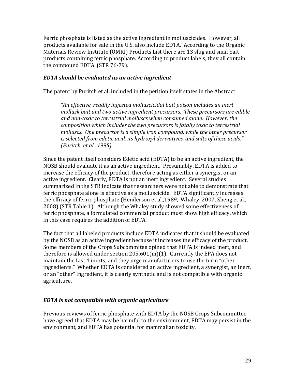Ferric phosphate is listed as the active ingredient in molluscicides. However, all products available for sale in the U.S. also include EDTA. According to the Organic Materials Review Institute (OMRI) Products List there are 13 slug and snail bait products containing ferric phosphate. According to product labels, they all contain the compound EDTA. (STR 76-79).

#### *EDTA)should)be)evaluated)as)an)active)ingredient*

The patent by Puritch et al. included in the petition itself states in the Abstract:

*"An'effective,'readily'ingested'molluscicidal'bait'poison'includes'an'inert' mollusk'bait'and'two'active'ingredient'precursors.''These'precursors'are'edible' and'non?toxic'to'terrestrial'molluscs'when'consumed'alone.''However,'the' composition'which'includes'the'two'precursors'is'fatally'toxic'to'terrestrial' molluscs.''One'precursor'is'a'simple'iron'compound,'while'the'other'precursor'* is selected from edetic acid, its hydroxyl derivatives, and salts of these acids." *(Puritch,'et'al.,'1995)*

Since the patent itself considers Edetic acid (EDTA) to be an active ingredient, the NOSB should evaluate it as an active ingredient. Presumably, EDTA is added to increase the efficacy of the product, therefore acting as either a synergist or an active ingredient. Clearly, EDTA is not an inert ingredient. Several studies summarized in the STR indicate that researchers were not able to demonstrate that ferric phosphate alone is effective as a molluscicide. EDTA significantly increases the efficacy of ferric phosphate (Henderson et al., 1989, Whaley, 2007, Zheng et al., 2008) (STR Table 1). Although the Whaley study showed some effectiveness of ferric phosphate, a formulated commercial product must show high efficacy, which in this case requires the addition of EDTA.

The fact that all labeled products include EDTA indicates that it should be evaluated by the NOSB as an active ingredient because it increases the efficacy of the product. Some members of the Crops Subcommitee opined that EDTA is indeed inert, and therefore is allowed under section  $205.601(m)(1)$ . Currently the EPA does not maintain the List 4 inerts, and they urge manufacturers to use the term "other ingredients." Whether EDTA is considered an active ingredient, a synergist, an inert, or an "other" ingredient, it is clearly synthetic and is not compatible with organic agriculture.

# *EDTA)is)not)compatible)with)organic)agriculture*

Previous reviews of ferric phosphate with EDTA by the NOSB Crops Subcommittee have agreed that EDTA may be harmful to the environment, EDTA may persist in the environment, and EDTA has potential for mammalian toxicity.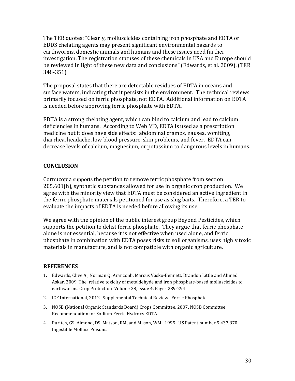The TER quotes: "Clearly, molluscicides containing iron phosphate and EDTA or EDDS chelating agents may present significant environmental hazards to earthworms, domestic animals and humans and these issues need further investigation. The registration statuses of these chemicals in USA and Europe should be reviewed in light of these new data and conclusions" (Edwards, et al. 2009). (TER  $348 - 351$ 

The proposal states that there are detectable residues of EDTA in oceans and surface waters, indicating that it persists in the environment. The technical reviews primarily focused on ferric phosphate, not EDTA. Additional information on EDTA is needed before approving ferric phosphate with EDTA.

EDTA is a strong chelating agent, which can bind to calcium and lead to calcium deficiencies in humans. According to Web MD, EDTA is used as a prescription medicine but it does have side effects: abdominal cramps, nausea, vomiting, diarrhea, headache, low blood pressure, skin problems, and fever. EDTA can decrease levels of calcium, magnesium, or potassium to dangerous levels in humans.

# **CONCLUSION**

Cornucopia supports the petition to remove ferric phosphate from section  $205.601(h)$ , synthetic substances allowed for use in organic crop production. We agree with the minority view that EDTA must be considered an active ingredient in the ferric phosphate materials petitioned for use as slug baits. Therefore, a TER to evaluate the impacts of EDTA is needed before allowing its use.

We agree with the opinion of the public interest group Beyond Pesticides, which supports the petition to delist ferric phosphate. They argue that ferric phosphate alone is not essential, because it is not effective when used alone, and ferric phosphate in combination with EDTA poses risks to soil organisms, uses highly toxic materials in manufacture, and is not compatible with organic agriculture.

#### **REFERENCES**

- 1. Edwards, Clive A., Norman Q. Aranconb, Marcus Vasko-Bennett, Brandon Little and Ahmed Askar. 2009. The relative toxicity of metaldehyde and iron phosphate-based molluscicides to earthworms. Crop Protection Volume 28, Issue 4, Pages 289-294.
- 2. ICF International, 2012. Supplemental Technical Review. Ferric Phosphate.
- 3. NOSB (National Organic Standards Board) Crops Committee. 2007. NOSB Committee Recommendation for Sodium Ferric Hydroxy EDTA.
- 4. Puritch, GS, Almond, DS, Matson, RM, and Mason, WM. 1995. US Patent number 5,437,870. Ingestible Mollusc Poisons.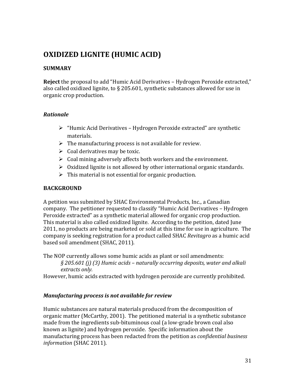# **OXIDIZED LIGNITE (HUMIC ACID)**

### **SUMMARY**

**Reject** the proposal to add "Humic Acid Derivatives – Hydrogen Peroxide extracted," also called oxidized lignite, to § 205.601, synthetic substances allowed for use in organic crop production.

### *Rationale*

- $\triangleright$  "Humic Acid Derivatives Hydrogen Peroxide extracted" are synthetic materials.
- $\triangleright$  The manufacturing process is not available for review.
- $\triangleright$  Coal derivatives may be toxic.
- $\triangleright$  Coal mining adversely affects both workers and the environment.
- $\triangleright$  Oxidized lignite is not allowed by other international organic standards.
- $\triangleright$  This material is not essential for organic production.

## **BACKGROUND**

A petition was submitted by SHAC Environmental Products, Inc., a Canadian company. The petitioner requested to classify "Humic Acid Derivatives – Hydrogen Peroxide extracted" as a synthetic material allowed for organic crop production. This material is also called oxidized lignite. According to the petition, dated June 2011, no products are being marketed or sold at this time for use in agriculture. The company is seeking registration for a product called SHAC *Revitagro* as a humic acid based soil amendment (SHAC, 2011).

The NOP currently allows some humic acids as plant or soil amendments:

*§'205.601'(j)'(3)'Humic'acids'–'naturally'occurring'deposits,'water'and'alkali' extracts'only.*

However, humic acids extracted with hydrogen peroxide are currently prohibited.

# *Manufacturing process is not available for review*

Humic substances are natural materials produced from the decomposition of organic matter (McCarthy, 2001). The petitioned material is a synthetic substance made from the ingredients sub-bituminous coal (a low-grade brown coal also known as lignite) and hydrogen peroxide. Specific information about the manufacturing process has been redacted from the petition as *confidential business information* (SHAC 2011).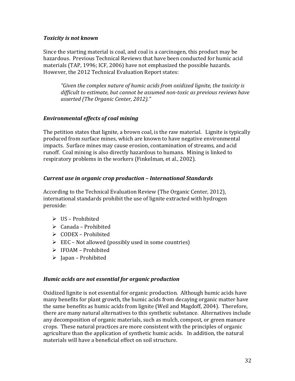#### *Toxicity is not known*

Since the starting material is coal, and coal is a carcinogen, this product may be hazardous. Previous Technical Reviews that have been conducted for humic acid materials (TAP, 1996; ICF, 2006) have not emphasized the possible hazards. However, the 2012 Technical Evaluation Report states:

*"Given'the'complex'nature'of'humic'acids'from'oxidized'lignite,'the'toxicity'is' difficult'to'estimate,'but'cannot'be'assumed'non?toxic'as'previous'reviews'have'* asserted (The Organic Center, 2012)."

# *Environmental)effects)of)coal)mining*

The petition states that lignite, a brown coal, is the raw material. Lignite is typically produced from surface mines, which are known to have negative environmental impacts. Surface mines may cause erosion, contamination of streams, and acid runoff. Coal mining is also directly hazardous to humans. Mining is linked to respiratory problems in the workers (Finkelman, et al., 2002).

# *Current)use)in)organic)crop)production)–)International)Standards*

According to the Technical Evaluation Review (The Organic Center, 2012), international standards prohibit the use of lignite extracted with hydrogen peroxide:

- $\triangleright$  US Prohibited
- $\triangleright$  Canada Prohibited
- $\triangleright$  CODEX Prohibited
- $\triangleright$  EEC Not allowed (possibly used in some countries)
- $\triangleright$  IFOAM Prohibited
- $\triangleright$  Japan Prohibited

#### *Humic)acids)are)not)essential)for)organic)production*

Oxidized lignite is not essential for organic production. Although humic acids have many benefits for plant growth, the humic acids from decaying organic matter have the same benefits as humic acids from lignite (Weil and Magdoff, 2004). Therefore, there are many natural alternatives to this synthetic substance. Alternatives include any decomposition of organic materials, such as mulch, compost, or green manure crops. These natural practices are more consistent with the principles of organic agriculture than the application of synthetic humic acids. In addition, the natural materials will have a beneficial effect on soil structure.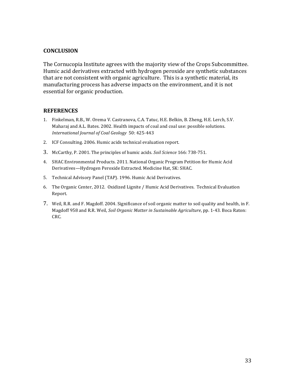#### **CONCLUSION**

The Cornucopia Institute agrees with the majority view of the Crops Subcommittee. Humic acid derivatives extracted with hydrogen peroxide are synthetic substances that are not consistent with organic agriculture. This is a synthetic material, its manufacturing process has adverse impacts on the environment, and it is not essential for organic production.

#### **REFERENCES**

- 1. Finkelman, R.B., W. Orema V. Castranova, C.A. Tatuc, H.E. Belkin, B. Zheng, H.E. Lerch, S.V. Maharaj and A.L. Bates. 2002. Health impacts of coal and coal use: possible solutions. International Journal of Coal Geology 50: 425-443
- 2. ICF Consulting. 2006. Humic acids technical evaluation report.
- 3. McCarthy, P. 2001. The principles of humic acids. *Soil Science* 166: 738-751.
- 4. SHAC Environmental Products. 2011. National Organic Program Petition for Humic Acid Derivatives-Hydrogen Peroxide Extracted. Medicine Hat, SK: SHAC.
- 5. Technical Advisory Panel (TAP). 1996. Humic Acid Derivatives.
- 6. The Organic Center, 2012. Oxidized Lignite / Humic Acid Derivatives. Technical Evaluation Report.
- 7. Weil, R.R. and F. Magdoff. 2004. Significance of soil organic matter to soil quality and health, in F. Magdoff 958 and R.R. Weil, *Soil Organic Matter in Sustainable Agriculture*, pp. 1-43. Boca Raton: CRC.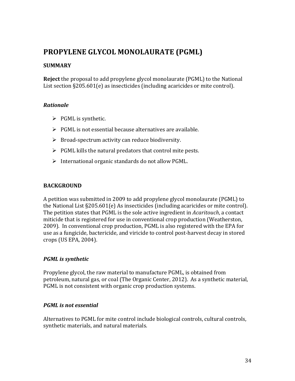# PROPYLENE GLYCOL MONOLAURATE (PGML)

### **SUMMARY**

**Reject** the proposal to add propylene glycol monolaurate (PGML) to the National List section  $§205.601(e)$  as insecticides (including acaricides or mite control).

#### *Rationale*

- $\triangleright$  PGML is synthetic.
- $\triangleright$  PGML is not essential because alternatives are available.
- $\triangleright$  Broad-spectrum activity can reduce biodiversity.
- $\triangleright$  PGML kills the natural predators that control mite pests.
- $\triangleright$  International organic standards do not allow PGML.

### **BACKGROUND**

A petition was submitted in 2009 to add propylene glycol monolaurate (PGML) to the National List  $\S205.601(e)$  As insecticides (including acaricides or mite control). The petition states that PGML is the sole active ingredient in *Acaritouch*, a contact miticide that is registered for use in conventional crop production (Weatherston, 2009). In conventional crop production, PGML is also registered with the EPA for use as a fungicide, bactericide, and viricide to control post-harvest decay in stored crops (US EPA, 2004).

#### *PGML* is synthetic

Propylene glycol, the raw material to manufacture PGML, is obtained from petroleum, natural gas, or coal (The Organic Center, 2012). As a synthetic material, PGML is not consistent with organic crop production systems.

#### *PGML)is)not)essential*

Alternatives to PGML for mite control include biological controls, cultural controls, synthetic materials, and natural materials.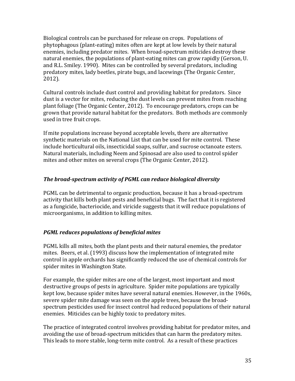Biological controls can be purchased for release on crops. Populations of phytophagous (plant-eating) mites often are kept at low levels by their natural enemies, including predator mites. When broad-spectrum miticides destroy these natural enemies, the populations of plant-eating mites can grow rapidly (Gerson, U. and R.L. Smiley. 1990). Mites can be controlled by several predators, including predatory mites, lady beetles, pirate bugs, and lacewings (The Organic Center,  $2012$ ).

Cultural controls include dust control and providing habitat for predators. Since dust is a vector for mites, reducing the dust levels can prevent mites from reaching plant foliage (The Organic Center, 2012). To encourage predators, crops can be grown that provide natural habitat for the predators. Both methods are commonly used in tree fruit crops.

If mite populations increase beyond acceptable levels, there are alternative synthetic materials on the National List that can be used for mite control. These include horticultural oils, insecticidal soaps, sulfur, and sucrose octanoate esters. Natural materials, including Neem and Spinosad are also used to control spider mites and other mites on several crops (The Organic Center, 2012).

# **The broad-spectrum activity of PGML can reduce biological diversity**

PGML can be detrimental to organic production, because it has a broad-spectrum activity that kills both plant pests and beneficial bugs. The fact that it is registered as a fungicide, bacteriocide, and viricide suggests that it will reduce populations of microorganisms, in addition to killing mites.

#### *PGML reduces populations of beneficial mites*

PGML kills all mites, both the plant pests and their natural enemies, the predator mites. Beers, et al. (1993) discuss how the implementation of integrated mite control in apple orchards has significantly reduced the use of chemical controls for spider mites in Washington State.

For example, the spider mites are one of the largest, most important and most destructive groups of pests in agriculture. Spider mite populations are typically kept low, because spider mites have several natural enemies. However, in the 1960s, severe spider mite damage was seen on the apple trees, because the broadspectrum pesticides used for insect control had reduced populations of their natural enemies. Miticides can be highly toxic to predatory mites.

The practice of integrated control involves providing habitat for predator mites, and avoiding the use of broad-spectrum miticides that can harm the predatory mites. This leads to more stable, long-term mite control. As a result of these practices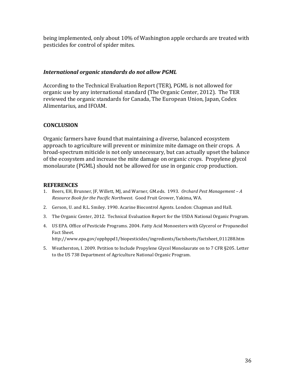being implemented, only about 10% of Washington apple orchards are treated with pesticides for control of spider mites.

#### *International)organic)standards)do)not)allow)PGML*

According to the Technical Evaluation Report (TER), PGML is not allowed for organic use by any international standard (The Organic Center, 2012). The TER reviewed the organic standards for Canada, The European Union, Japan, Codex Alimentarius, and IFOAM.

# **CONCLUSION**

Organic farmers have found that maintaining a diverse, balanced ecosystem approach to agriculture will prevent or minimize mite damage on their crops. A broad-spectrum miticide is not only unnecessary, but can actually upset the balance of the ecosystem and increase the mite damage on organic crops. Propylene glycol monolaurate (PGML) should not be allowed for use in organic crop production.

### **REFERENCES**

- 1. Beers, EH, Brunner, JF, Willett, MJ, and Warner, GM.eds. 1993. *Orchard Pest Management A Resource Book for the Pacific Northwest. Good Fruit Grower, Yakima, WA.*
- 2. Gerson, U. and R.L. Smiley. 1990. Acarine Biocontrol Agents. London: Chapman and Hall.
- 3. The Organic Center, 2012. Technical Evaluation Report for the USDA National Organic Program.
- 4. US EPA. Office of Pesticide Programs. 2004. Fatty Acid Monoesters with Glycerol or Propanediol Fact Sheet. http://www.epa.gov/oppbppd1/biopesticides/ingredients/factsheets/factsheet\_011288.htm
- 5. Weatherston, I. 2009. Petition to Include Propylene Glycol Monolaurate on to 7 CFR §205. Letter to the US 738 Department of Agriculture National Organic Program.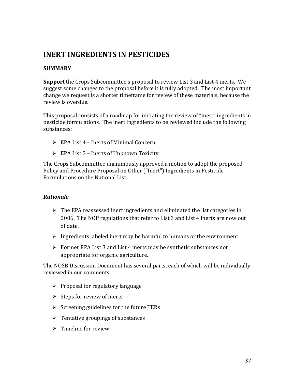# **INERT INGREDIENTS IN PESTICIDES**

## **SUMMARY**

**Support** the Crops Subcommittee's proposal to review List 3 and List 4 inerts. We suggest some changes to the proposal before it is fully adopted. The most important change we request is a shorter timeframe for review of these materials, because the review is overdue.

This proposal consists of a roadmap for initiating the review of "inert" ingredients in pesticide formulations. The inert ingredients to be reviewed include the following substances:

- $\triangleright$  EPA List 4 Inerts of Minimal Concern
- $\triangleright$  EPA List 3 Inerts of Unknown Toxicity

The Crops Subcommittee unanimously approved a motion to adopt the proposed Policy and Procedure Proposal on Other ("Inert") Ingredients in Pesticide Formulations on the National List.

# *Rationale*

- $\triangleright$  The EPA reassessed inert ingredients and eliminated the list categories in 2006. The NOP regulations that refer to List 3 and List 4 inerts are now out of date.
- Ingredients labeled inert may be harmful to humans or the environment.
- $\triangleright$  Former EPA List 3 and List 4 inerts may be synthetic substances not appropriate for organic agriculture.

The NOSB Discussion Document has several parts, each of which will be individually reviewed in our comments:

- $\triangleright$  Proposal for regulatory language
- $\triangleright$  Steps for review of inerts
- $\triangleright$  Screening guidelines for the future TERs
- $\triangleright$  Tentative groupings of substances
- $\triangleright$  Timeline for review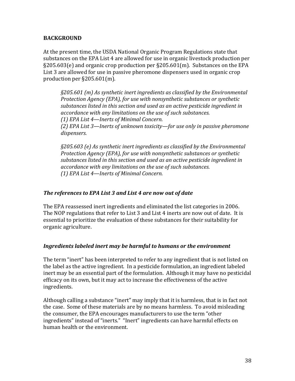## **BACKGROUND**

At the present time, the USDA National Organic Program Regulations state that substances on the EPA List 4 are allowed for use in organic livestock production per  $\S205.603(e)$  and organic crop production per  $\S205.601(m)$ . Substances on the EPA List 3 are allowed for use in passive pheromone dispensers used in organic crop production per  $\S205.601(m)$ .

*§205.601'(m)'As'synthetic'inert'ingredients'as'classified'by'the'Environmental' Protection Agency (EPA), for use with nonsynthetic substances or synthetic* substances listed in this section and used as an active pesticide ingredient in *accordance'with'any'limitations'on'the'use'of'such'substances. (1)* EPA List 4—Inerts of Minimal Concern.

*(2)'EPA'List'3—Inerts'of'unknown'toxicity—for'use'only'in'passive'pheromone' dispensers.*

*§205.603'(e)'As'synthetic'inert'ingredients'as'classified'by'the'Environmental' Protection'Agency'(EPA),'for'use'with'nonsynthetic'substances'or'synthetic'* substances listed in this section and used as an active pesticide ingredient in *accordance'with'any'limitations'on'the'use'of'such'substances. (1) EPA List 4—Inerts of Minimal Concern.* 

#### The references to EPA List 3 and List 4 are now out of date

The EPA reassessed inert ingredients and eliminated the list categories in 2006. The NOP regulations that refer to List 3 and List 4 inerts are now out of date. It is essential to prioritize the evaluation of these substances for their suitability for organic agriculture.

#### Ingredients labeled inert may be harmful to humans or the environment

The term "inert" has been interpreted to refer to any ingredient that is not listed on the label as the active ingredient. In a pesticide formulation, an ingredient labeled inert may be an essential part of the formulation. Although it may have no pesticidal efficacy on its own, but it may act to increase the effectiveness of the active ingredients.

Although calling a substance "inert" may imply that it is harmless, that is in fact not the case. Some of these materials are by no means harmless. To avoid misleading the consumer, the EPA encourages manufacturers to use the term "other ingredients" instead of "inerts." "Inert" ingredients can have harmful effects on human health or the environment.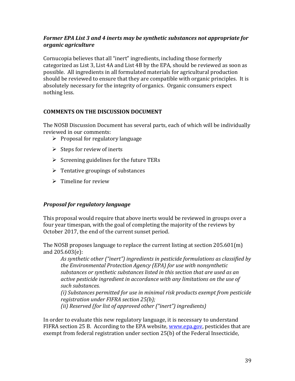## Former EPA List 3 and 4 inerts may be synthetic substances not appropriate for *organic)agriculture*

Cornucopia believes that all "inert" ingredients, including those formerly categorized as List 3, List 4A and List 4B by the EPA, should be reviewed as soon as possible. All ingredients in all formulated materials for agricultural production should be reviewed to ensure that they are compatible with organic principles. It is absolutely necessary for the integrity of organics. Organic consumers expect nothing less.

# **COMMENTS ON THE DISCUSSION DOCUMENT**

The NOSB Discussion Document has several parts, each of which will be individually reviewed in our comments:

- $\triangleright$  Proposal for regulatory language
- $\triangleright$  Steps for review of inerts
- $\triangleright$  Screening guidelines for the future TERs
- $\triangleright$  Tentative groupings of substances
- $\triangleright$  Timeline for review

# *Proposal for regulatory language*

This proposal would require that above inerts would be reviewed in groups over a four year timespan, with the goal of completing the majority of the reviews by October 2017, the end of the current sunset period.

The NOSB proposes language to replace the current listing at section  $205.601(m)$ and 205.603(e):

*As'synthetic'other'("inert")'ingredients'in'pesticide'formulations'as'classified'by' the'Environmental'Protection'Agency'(EPA)'for'use'with'nonsynthetic' substances'or'synthetic'substances'listed'in'this'section'that'are'used'as'an' active'pesticide'ingredient'in'accordance'with'any'limitations'on'the'use'of' such'substances.'*

*(i)'Substances'permitted'for'use'in'minimal'risk'products'exempt'from'pesticide'* registration under FIFRA section 25(b);

(*ii*) Reserved (for list of approved other ("inert") ingredients)

In order to evaluate this new regulatory language, it is necessary to understand FIFRA section 25 B. According to the EPA website, www.epa.gov, pesticides that are exempt from federal registration under section  $25(b)$  of the Federal Insecticide,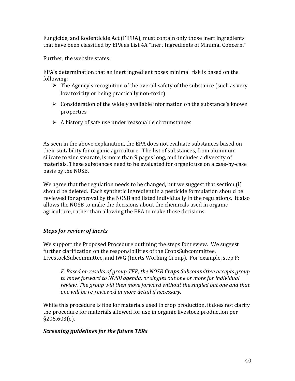Fungicide, and Rodenticide Act (FIFRA), must contain only those inert ingredients that have been classified by EPA as List 4A "Inert Ingredients of Minimal Concern."

Further, the website states:

EPA's determination that an inert ingredient poses minimal risk is based on the following:

- $\triangleright$  The Agency's recognition of the overall safety of the substance (such as very low toxicity or being practically non-toxic)
- $\triangleright$  Consideration of the widely available information on the substance's known properties
- $\triangleright$  A history of safe use under reasonable circumstances

As seen in the above explanation, the EPA does not evaluate substances based on their suitability for organic agriculture. The list of substances, from aluminum silicate to zinc stearate, is more than 9 pages long, and includes a diversity of materials. These substances need to be evaluated for organic use on a case-by-case basis by the NOSB.

We agree that the regulation needs to be changed, but we suggest that section  $(i)$ should be deleted. Each synthetic ingredient in a pesticide formulation should be reviewed for approval by the NOSB and listed individually in the regulations. It also allows the NOSB to make the decisions about the chemicals used in organic agriculture, rather than allowing the EPA to make those decisions.

# *Steps for review of inerts*

We support the Proposed Procedure outlining the steps for review. We suggest further clarification on the responsibilities of the CropsSubcommittee, LivestockSubcommittee, and IWG (Inerts Working Group). For example, step F:

*F.'Based'on'results'of'group'TER,'the'NOSB'Crops'Subcommittee'accepts'group' to'move'forward'to'NOSB'agenda,'or'singles'out'one'or'more'for'individual' review.'The'group'will'then'move'forward'without'the'singled'out'one'and'that' one'will'be're?reviewed'in'more'detail'if'necessary.'*

While this procedure is fine for materials used in crop production, it does not clarify the procedure for materials allowed for use in organic livestock production per §205.603(e).

# *Screening quidelines for the future TERs*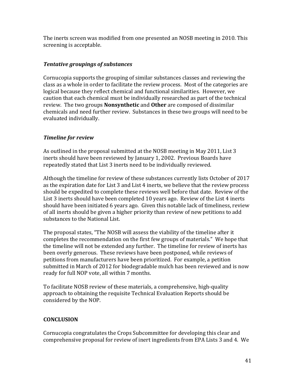The inerts screen was modified from one presented an NOSB meeting in 2010. This screening is acceptable.

# **Tentative groupings of substances**

Cornucopia supports the grouping of similar substances classes and reviewing the class as a whole in order to facilitate the review process. Most of the categories are logical because they reflect chemical and functional similarities. However, we caution that each chemical must be individually researched as part of the technical review. The two groups **Nonsynthetic** and **Other** are composed of dissimilar chemicals and need further review. Substances in these two groups will need to be evaluated individually.

# **Timeline for review**

As outlined in the proposal submitted at the NOSB meeting in May 2011, List 3 inerts should have been reviewed by January 1, 2002. Previous Boards have repeatedly stated that List 3 inerts need to be individually reviewed.

Although the timeline for review of these substances currently lists October of 2017 as the expiration date for List 3 and List 4 inerts, we believe that the review process should be expedited to complete these reviews well before that date. Review of the List 3 inerts should have been completed 10 years ago. Review of the List 4 inerts should have been initiated 6 years ago. Given this notable lack of timeliness, review of all inerts should be given a higher priority than review of new petitions to add substances to the National List.

The proposal states, "The NOSB will assess the viability of the timeline after it completes the recommendation on the first few groups of materials." We hope that the timeline will not be extended any further. The timeline for review of inerts has been overly generous. These reviews have been postponed, while reviews of petitions from manufacturers have been prioritized. For example, a petition submitted in March of 2012 for biodegradable mulch has been reviewed and is now ready for full NOP vote, all within 7 months.

To facilitate NOSB review of these materials, a comprehensive, high-quality approach to obtaining the requisite Technical Evaluation Reports should be considered by the NOP.

# **CONCLUSION**

Cornucopia congratulates the Crops Subcommittee for developing this clear and comprehensive proposal for review of inert ingredients from EPA Lists 3 and 4. We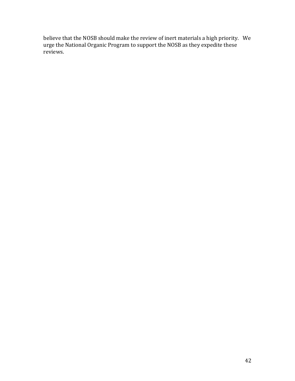believe that the NOSB should make the review of inert materials a high priority. We urge the National Organic Program to support the NOSB as they expedite these reviews.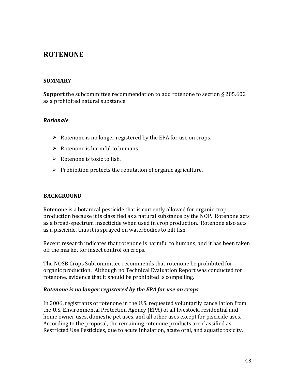# **ROTENONE**

#### **SUMMARY**

**Support** the subcommittee recommendation to add rotenone to section § 205.602 as a prohibited natural substance.

#### *Rationale*

- $\triangleright$  Rotenone is no longer registered by the EPA for use on crops.
- $\triangleright$  Rotenone is harmful to humans.
- $\triangleright$  Rotenone is toxic to fish.
- $\triangleright$  Prohibition protects the reputation of organic agriculture.

# **BACKGROUND**

Rotenone is a botanical pesticide that is currently allowed for organic crop production because it is classified as a natural substance by the NOP. Rotenone acts as a broad-spectrum insecticide when used in crop production. Rotenone also acts as a piscicide, thus it is sprayed on waterbodies to kill fish.

Recent research indicates that rotenone is harmful to humans, and it has been taken off the market for insect control on crops.

The NOSB Crops Subcommittee recommends that rotenone be prohibited for organic production. Although no Technical Evaluation Report was conducted for rotenone, evidence that it should be prohibited is compelling.

#### *Rotenone is no longer registered by the EPA for use on crops*

In 2006, registrants of rotenone in the U.S. requested voluntarily cancellation from the U.S. Environmental Protection Agency (EPA) of all livestock, residential and home owner uses, domestic pet uses, and all other uses except for piscicide uses. According to the proposal, the remaining rotenone products are classified as Restricted Use Pesticides, due to acute inhalation, acute oral, and aquatic toxicity.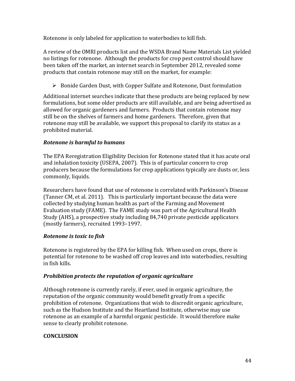Rotenone is only labeled for application to waterbodies to kill fish.

A review of the OMRI products list and the WSDA Brand Name Materials List yielded no listings for rotenone. Although the products for crop pest control should have been taken off the market, an internet search in September 2012, revealed some products that contain rotenone may still on the market, for example:

 $\triangleright$  Bonide Garden Dust, with Copper Sulfate and Rotenone, Dust formulation

Additional internet searches indicate that these products are being replaced by new formulations, but some older products are still available, and are being advertised as allowed for organic gardeners and farmers. Products that contain rotenone may still be on the shelves of farmers and home gardeners. Therefore, given that rotenone may still be available, we support this proposal to clarify its status as a prohibited material.

# *Rotenone)is)harmful)to)humans*

The EPA Reregistration Eligibility Decision for Rotenone stated that it has acute oral and inhalation toxicity (USEPA, 2007). This is of particular concern to crop producers because the formulations for crop applications typically are dusts or, less commonly, liquids.

Researchers have found that use of rotenone is correlated with Parkinson's Disease (Tanner CM, et al. 2011). This is particularly important because the data were collected by studying human health as part of the Farming and Movement Evaluation study (FAME). The FAME study was part of the Agricultural Health Study (AHS), a prospective study including 84,740 private pesticide applicators (mostly farmers), recruited 1993–1997.

# *Rotenone)is)toxic)to)fish*

Rotenone is registered by the EPA for killing fish. When used on crops, there is potential for rotenone to be washed off crop leaves and into waterbodies, resulting in fish kills.

# *Prohibition protects the reputation of organic agriculture*

Although rotenone is currently rarely, if ever, used in organic agriculture, the reputation of the organic community would benefit greatly from a specific prohibition of rotenone. Organizations that wish to discredit organic agriculture, such as the Hudson Institute and the Heartland Institute, otherwise may use rotenone as an example of a harmful organic pesticide. It would therefore make sense to clearly prohibit rotenone.

# **CONCLUSION**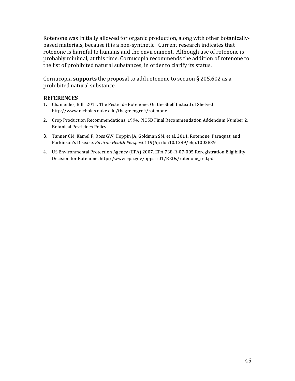Rotenone was initially allowed for organic production, along with other botanicallybased materials, because it is a non-synthetic. Current research indicates that rotenone is harmful to humans and the environment. Although use of rotenone is probably minimal, at this time, Cornucopia recommends the addition of rotenone to the list of prohibited natural substances, in order to clarify its status.

Cornucopia **supports** the proposal to add rotenone to section  $\S$  205.602 as a prohibited natural substance.

#### **REFERENCES**

- 1. Chameides, Bill. 2011. The Pesticide Rotenone: On the Shelf Instead of Shelved. http://www.nicholas.duke.edu/thegreengrok/rotenone!
- 2. Crop Production Recommendations, 1994. NOSB Final Recommendation Addendum Number 2, Botanical Pesticides Policy.
- 3. Tanner CM, Kamel F, Ross GW, Hoppin JA, Goldman SM, et al. 2011. Rotenone, Paraquat, and Parkinson's Disease. *Environ Health Perspect* 119(6): doi:10.1289/ehp.1002839
- 4. US Environmental Protection Agency (EPA) 2007. EPA 738-R-07-005 Reregistration Eligibility Decision for Rotenone. http://www.epa.gov/oppsrrd1/REDs/rotenone\_red.pdf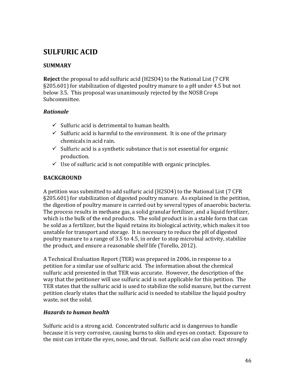# **SULFURIC!ACID**

# **SUMMARY**

**Reject** the proposal to add sulfuric acid (H2SO4) to the National List (7 CFR §205.601) for stabilization of digested poultry manure to a pH under 4.5 but not below 3.5. This proposal was unanimously rejected by the NOSB Crops Subcommittee.

# *Rationale*

- $\checkmark$  Sulfuric acid is detrimental to human health.
- $\checkmark$  Sulfuric acid is harmful to the environment. It is one of the primary chemicals in acid rain.
- $\checkmark$  Sulfuric acid is a synthetic substance that is not essential for organic production.
- $\checkmark$  Use of sulfuric acid is not compatible with organic principles.

# **BACKGROUND**

A petition was submitted to add sulfuric acid (H2SO4) to the National List (7 CFR §205.601) for stabilization of digested poultry manure. As explained in the petition, the digestion of poultry manure is carried out by several types of anaerobic bacteria. The process results in methane gas, a solid granular fertilizer, and a liquid fertilizer, which is the bulk of the end products. The solid product is in a stable form that can be sold as a fertilizer, but the liquid retains its biological activity, which makes it too unstable for transport and storage. It is necessary to reduce the pH of digested poultry manure to a range of 3.5 to 4.5, in order to stop microbial activity, stabilize the product, and ensure a reasonable shelf life (Torello, 2012).

A Technical Evaluation Report (TER) was prepared in 2006, in response to a petition for a similar use of sulfuric acid. The information about the chemical sulfuric acid presented in that TER was accurate. However, the description of the way that the petitioner will use sulfuric acid is not applicable for this petition. The TER states that the sulfuric acid is used to stabilize the solid manure, but the current petition clearly states that the sulfuric acid is needed to stabilize the liquid poultry waste, not the solid.

#### *Hazards to human health*

Sulfuric acid is a strong acid. Concentrated sulfuric acid is dangerous to handle because it is very corrosive, causing burns to skin and eyes on contact. Exposure to the mist can irritate the eyes, nose, and throat. Sulfuric acid can also react strongly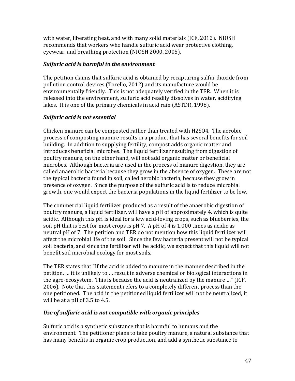with water, liberating heat, and with many solid materials (ICF, 2012). NIOSH recommends that workers who handle sulfuric acid wear protective clothing, eyewear, and breathing protection (NIOSH 2000, 2005).

# *Sulfuric acid is harmful to the environment*

The petition claims that sulfuric acid is obtained by recapturing sulfur dioxide from pollution control devices (Torello, 2012) and its manufacture would be environmentally friendly. This is not adequately verified in the TER. When it is released into the environment, sulfuric acid readily dissolves in water, acidifying lakes. It is one of the primary chemicals in acid rain (ASTDR, 1998).

# *Sulfuric)acid)is)not)essential)*

Chicken manure can be composted rather than treated with H2SO4. The aerobic process of composting manure results in a product that has several benefits for soilbuilding. In addition to supplying fertility, compost adds organic matter and introduces beneficial microbes. The liquid fertilizer resulting from digestion of poultry manure, on the other hand, will not add organic matter or beneficial microbes. Although bacteria are used in the process of manure digestion, they are called anaerobic bacteria because they grow in the absence of oxygen. These are not the typical bacteria found in soil, called aerobic bacteria, because they grow in presence of oxygen. Since the purpose of the sulfuric acid is to reduce microbial growth, one would expect the bacteria populations in the liquid fertilizer to be low.

The commercial liquid fertilizer produced as a result of the anaerobic digestion of poultry manure, a liquid fertilizer, will have a pH of approximately 4, which is quite acidic. Although this pH is ideal for a few acid-loving crops, such as blueberries, the soil pH that is best for most crops is pH 7. A pH of 4 is  $1,000$  times as acidic as neutral pH of 7. The petition and TER do not mention how this liquid fertilizer will affect the microbial life of the soil. Since the few bacteria present will not be typical soil bacteria, and since the fertilizer will be acidic, we expect that this liquid will not benefit soil microbial ecology for most soils.

The TER states that "If the acid is added to manure in the manner described in the petition, ... it is unlikely to ... result in adverse chemical or biological interactions in the agro-ecosystem. This is because the acid is neutralized by the manure ..." (ICF, 2006). Note that this statement refers to a completely different process than the one petitioned. The acid in the petitioned liquid fertilizer will not be neutralized, it will be at a pH of  $3.5$  to  $4.5$ .

# *Use of sulfuric acid is not compatible with organic principles*

Sulfuric acid is a synthetic substance that is harmful to humans and the environment. The petitioner plans to take poultry manure, a natural substance that has many benefits in organic crop production, and add a synthetic substance to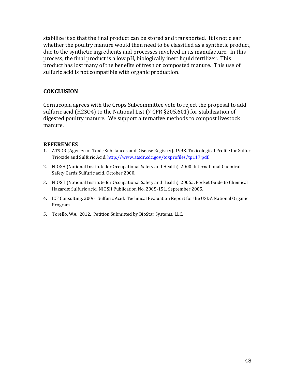stabilize it so that the final product can be stored and transported. It is not clear whether the poultry manure would then need to be classified as a synthetic product, due to the synthetic ingredients and processes involved in its manufacture. In this process, the final product is a low pH, biologically inert liquid fertilizer. This product has lost many of the benefits of fresh or composted manure. This use of sulfuric acid is not compatible with organic production.

## **CONCLUSION**

Cornucopia agrees with the Crops Subcommittee vote to reject the proposal to add sulfuric acid (H2SO4) to the National List (7 CFR §205.601) for stabilization of digested poultry manure. We support alternative methods to compost livestock manure.

#### **REFERENCES**

- 1. ATSDR (Agency for Toxic Substances and Disease Registry). 1998. Toxicological Profile for Sulfur Trioxide and Sulfuric Acid. http://www.atsdr.cdc.gov/toxprofiles/tp117.pdf.
- 2. NIOSH (National Institute for Occupational Safety and Health). 2000. International Chemical Safety Cards: Sulfuric acid. October 2000.
- 3. NIOSH (National Institute for Occupational Safety and Health). 2005a. Pocket Guide to Chemical Hazards: Sulfuric acid. NIOSH Publication No. 2005-151. September 2005.
- 4. ICF Consulting, 2006. Sulfuric Acid. Technical Evaluation Report for the USDA National Organic Program..!
- 5. Torello, WA. 2012. Petition Submitted by BioStar Systems, LLC.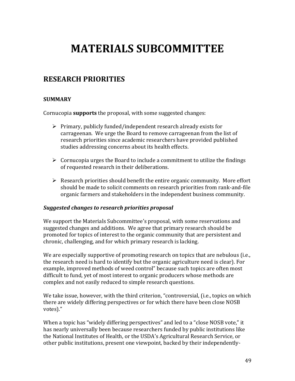# **MATERIALS!SUBCOMMITTEE**

# **RESEARCH!PRIORITIES!**

## **SUMMARY**

Cornucopia **supports** the proposal, with some suggested changes:

- $\triangleright$  Primary, publicly funded/independent research already exists for carrageenan. We urge the Board to remove carrageenan from the list of research priorities since academic researchers have provided published studies addressing concerns about its health effects.
- $\triangleright$  Cornucopia urges the Board to include a commitment to utilize the findings of requested research in their deliberations.
- $\triangleright$  Research priorities should benefit the entire organic community. More effort should be made to solicit comments on research priorities from rank-and-file organic farmers and stakeholders in the independent business community.

#### *Suggested changes to research priorities proposal*

We support the Materials Subcommittee's proposal, with some reservations and suggested changes and additions. We agree that primary research should be promoted for topics of interest to the organic community that are persistent and chronic, challenging, and for which primary research is lacking.

We are especially supportive of promoting research on topics that are nebulous (i.e., the research need is hard to identify but the organic agriculture need is clear). For example, improved methods of weed control" because such topics are often most difficult to fund, yet of most interest to organic producers whose methods are complex and not easily reduced to simple research questions.

We take issue, however, with the third criterion, "controversial, (i.e., topics on which there are widely differing perspectives or for which there have been close NOSB votes)."

When a topic has "widely differing perspectives" and led to a "close NOSB vote," it has nearly universally been because researchers funded by public institutions like the National Institutes of Health, or the USDA's Agricultural Research Service, or other public institutions, present one viewpoint, backed by their independently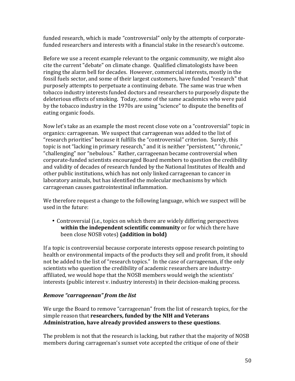funded research, which is made "controversial" only by the attempts of corporatefunded researchers and interests with a financial stake in the research's outcome.

Before we use a recent example relevant to the organic community, we might also cite the current "debate" on climate change. Qualified climatologists have been ringing the alarm bell for decades. However, commercial interests, mostly in the fossil fuels sector, and some of their largest customers, have funded "research" that purposely attempts to perpetuate a continuing debate. The same was true when tobacco industry interests funded doctors and researchers to purposely dispute the deleterious effects of smoking. Today, some of the same academics who were paid by the tobacco industry in the 1970s are using "science" to dispute the benefits of eating organic foods.

Now let's take as an example the most recent close vote on a "controversial" topic in organics: carrageenan. We suspect that carrageenan was added to the list of "research priorities" because it fulfills the "controversial" criterion. Surely, this topic is not "lacking in primary research," and it is neither "persistent," "chronic," "challenging" nor "nebulous." Rather, carrageenan became controversial when corporate-funded scientists encouraged Board members to question the credibility and validity of decades of research funded by the National Institutes of Health and other public institutions, which has not only linked carrageenan to cancer in laboratory animals, but has identified the molecular mechanisms by which carrageenan causes gastrointestinal inflammation.

We therefore request a change to the following language, which we suspect will be used in the future:

• Controversial (i.e., topics on which there are widely differing perspectives within the independent scientific community or for which there have been close NOSB votes) (addition in bold)

If a topic is controversial because corporate interests oppose research pointing to health or environmental impacts of the products they sell and profit from, it should not be added to the list of "research topics." In the case of carrageenan, if the only scientists who question the credibility of academic researchers are industryaffiliated, we would hope that the NOSB members would weigh the scientists' interests (public interest v. industry interests) in their decision-making process.

# *Remove)"carrageenan")from)the)list*

We urge the Board to remove "carrageenan" from the list of research topics, for the simple reason that **researchers, funded by the NIH and Veterans** Administration, have already provided answers to these questions.

The problem is not that the research is lacking, but rather that the majority of NOSB members during carrageenan's sunset vote accepted the critique of one of their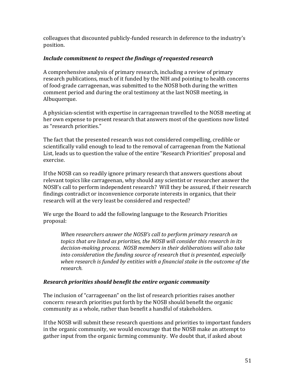colleagues that discounted publicly-funded research in deference to the industry's position.

# *Include commitment to respect the findings of requested research*

A comprehensive analysis of primary research, including a review of primary research publications, much of it funded by the NIH and pointing to health concerns of food-grade carrageenan, was submitted to the NOSB both during the written comment period and during the oral testimony at the last NOSB meeting, in Albuquerque.

A physician-scientist with expertise in carrageenan travelled to the NOSB meeting at her own expense to present research that answers most of the questions now listed as "research priorities."

The fact that the presented research was not considered compelling, credible or scientifically valid enough to lead to the removal of carrageenan from the National List, leads us to question the value of the entire "Research Priorities" proposal and exercise.

If the NOSB can so readily ignore primary research that answers questions about relevant topics like carrageenan, why should any scientist or researcher answer the NOSB's call to perform independent research? Will they be assured, if their research findings contradict or inconvenience corporate interests in organics, that their research will at the very least be considered and respected?

We urge the Board to add the following language to the Research Priorities proposal:

When researchers answer the NOSB's call to perform primary research on *topics'that'are'listed'as'priorities,'the'NOSB'will'consider'this'research'in'its'* decision-making process. NOSB members in their deliberations will also take into consideration the funding source of research that is presented, especially when research is funded by entities with a financial stake in the outcome of the *research.''*

#### *Research priorities should benefit the entire organic community*

The inclusion of "carrageenan" on the list of research priorities raises another concern: research priorities put forth by the NOSB should benefit the organic community as a whole, rather than benefit a handful of stakeholders.

If the NOSB will submit these research questions and priorities to important funders in the organic community, we would encourage that the NOSB make an attempt to gather input from the organic farming community. We doubt that, if asked about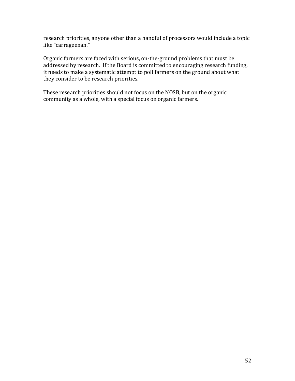research priorities, anyone other than a handful of processors would include a topic like "carrageenan."

Organic farmers are faced with serious, on-the-ground problems that must be addressed by research. If the Board is committed to encouraging research funding, it needs to make a systematic attempt to poll farmers on the ground about what they consider to be research priorities.

These research priorities should not focus on the NOSB, but on the organic community as a whole, with a special focus on organic farmers.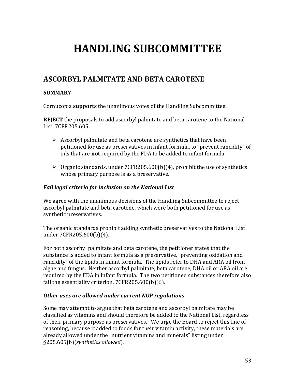# **HANDLING!SUBCOMMITTEE**

# **ASCORBYL!PALMITATE!AND!BETA!CAROTENE**

# **SUMMARY!**

Cornucopia **supports** the unanimous votes of the Handling Subcommittee.

**REJECT** the proposals to add ascorbyl palmitate and beta carotene to the National List, 7CFR205.605.

- $\triangleright$  Ascorbyl palmitate and beta carotene are synthetics that have been petitioned for use as preservatives in infant formula, to "prevent rancidity" of oils that are **not** required by the FDA to be added to infant formula.
- $\triangleright$  Organic standards, under 7CFR205.600(b)(4), prohibit the use of synthetics whose primary purpose is as a preservative.

# Fail legal criteria for inclusion on the National List

We agree with the unanimous decisions of the Handling Subcommittee to reject ascorbyl palmitate and beta carotene, which were both petitioned for use as synthetic preservatives.

The organic standards prohibit adding synthetic preservatives to the National List under 7CFR205.600(b)(4).

For both ascorbyl palmitate and beta carotene, the petitioner states that the substance is added to infant formula as a preservative, "preventing oxidation and rancidity" of the lipids in infant formula. The lipids refer to DHA and ARA oil from algae and fungus. Neither ascorbyl palmitate, beta carotene, DHA oil or ARA oil are required by the FDA in infant formula. The two petitioned substances therefore also fail the essentiality criterion,  $7CFR205.600(b)(6)$ .

# *Other uses are allowed under current NOP regulations*

Some may attempt to argue that beta carotene and ascorbyl palmitate may be classified as vitamins and should therefore be added to the National List, regardless of their primary purpose as preservatives. We urge the Board to reject this line of reasoning, because if added to foods for their vitamin activity, these materials are already allowed under the "nutrient vitamins and minerals" listing under §205.605(b)(*synthetics'allowed*).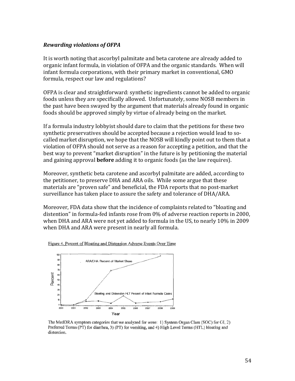#### *Rewarding)violations)of)OFPA*

It is worth noting that ascorbyl palmitate and beta carotene are already added to organic infant formula, in violation of OFPA and the organic standards. When will infant formula corporations, with their primary market in conventional, GMO formula, respect our law and regulations?

OFPA is clear and straightforward: synthetic ingredients cannot be added to organic foods unless they are specifically allowed. Unfortunately, some NOSB members in the past have been swayed by the argument that materials already found in organic foods should be approved simply by virtue of already being on the market.

If a formula industry lobbyist should dare to claim that the petitions for these two synthetic preservatives should be accepted because a rejection would lead to socalled market disruption, we hope that the NOSB will kindly point out to them that a violation of OFPA should not serve as a reason for accepting a petition, and that the best way to prevent "market disruption" in the future is by petitioning the material and gaining approval **before** adding it to organic foods (as the law requires).

Moreover, synthetic beta carotene and ascorbyl palmitate are added, according to the petitioner, to preserve DHA and ARA oils. While some argue that these materials are "proven safe" and beneficial, the FDA reports that no post-market surveillance has taken place to assure the safety and tolerance of DHA/ARA.

Moreover, FDA data show that the incidence of complaints related to "bloating and distention" in formula-fed infants rose from  $0\%$  of adverse reaction reports in 2000, when DHA and ARA were not yet added to formula in the US, to nearly 10% in 2009 when DHA and ARA were present in nearly all formula.





The MedDRA symptom categories that we analyzed for were: 1) System Organ Class (SOC) for GI, 2) Preferred Terms (PT) for diarrhea, 3) (PT) for vomiting, and 4) High Level Terms (HTL) bloating and distention.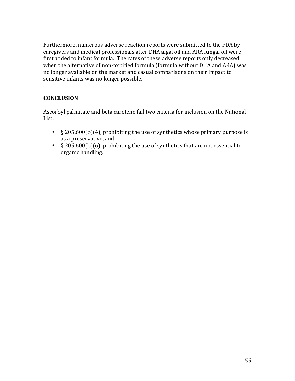Furthermore, numerous adverse reaction reports were submitted to the FDA by caregivers and medical professionals after DHA algal oil and ARA fungal oil were first added to infant formula. The rates of these adverse reports only decreased when the alternative of non-fortified formula (formula without DHA and ARA) was no longer available on the market and casual comparisons on their impact to sensitive infants was no longer possible.

# **CONCLUSION**

Ascorbyl palmitate and beta carotene fail two criteria for inclusion on the National List:

- $§$  205.600(b)(4), prohibiting the use of synthetics whose primary purpose is as a preservative, and
- $\S$  205.600(b)(6), prohibiting the use of synthetics that are not essential to organic handling.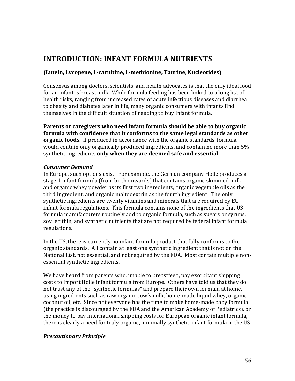# **INTRODUCTION: INFANT FORMULA NUTRIENTS**

## **(Lutein, Lycopene, L-carnitine, L-methionine, Taurine, Nucleotides)**

Consensus among doctors, scientists, and health advocates is that the only ideal food for an infant is breast milk. While formula feeding has been linked to a long list of health risks, ranging from increased rates of acute infectious diseases and diarrhea to obesity and diabetes later in life, many organic consumers with infants find themselves in the difficult situation of needing to buy infant formula.

**Parents or caregivers who need infant formula should be able to buy organic formula with confidence that it conforms to the same legal standards as other organic foods.** If produced in accordance with the organic standards, formula would contain only organically produced ingredients, and contain no more than  $5\%$ synthetic ingredients only when they are deemed safe and essential.

#### *Consumer Demand*

In Europe, such options exist. For example, the German company Holle produces a stage 1 infant formula (from birth onwards) that contains organic skimmed milk and organic whey powder as its first two ingredients, organic vegetable oils as the third ingredient, and organic maltodextrin as the fourth ingredient. The only synthetic ingredients are twenty vitamins and minerals that are required by EU infant formula regulations. This formula contains none of the ingredients that US formula manufacturers routinely add to organic formula, such as sugars or syrups, soy lecithin, and synthetic nutrients that are not required by federal infant formula regulations.

In the US, there is currently no infant formula product that fully conforms to the organic standards. All contain at least one synthetic ingredient that is not on the National List, not essential, and not required by the FDA. Most contain multiple nonessential synthetic ingredients.

We have heard from parents who, unable to breastfeed, pay exorbitant shipping costs to import Holle infant formula from Europe. Others have told us that they do not trust any of the "synthetic formulas" and prepare their own formula at home, using ingredients such as raw organic cow's milk, home-made liquid whey, organic coconut oil, etc. Since not everyone has the time to make home-made baby formula (the practice is discouraged by the FDA and the American Academy of Pediatrics), or the money to pay international shipping costs for European organic infant formula, there is clearly a need for truly organic, minimally synthetic infant formula in the US.

#### *Precautionary)Principle*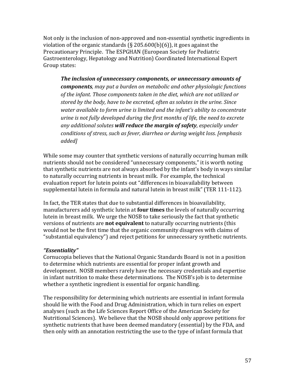Not only is the inclusion of non-approved and non-essential synthetic ingredients in violation of the organic standards (§ 205.600(b)(6)), it goes against the Precautionary Principle. The ESPGHAN (European Society for Pediatric Gastroenterology, Hepatology and Nutrition) Coordinated International Expert Group states:

*The inclusion of unnecessary components, or unnecessary amounts of components,'may'put'a'burden'on'metabolic'and'other'physiologic'functions' of'the'infant.'Those'components'taken'in'the'diet,'which'are'not'utilized'or' stored'by'the'body,'have'to'be'excreted,'often'as'solutes'in'the'urine.'Since' water'available'to'form'urine'is'limited'and'the'infant's'ability'to'concentrate' urine'is'not'fully'developed'during'the'first'months'of'life,'the'need'to'excrete' any'additional'solutes'will)reduce)the)margin)of)safety,'especially'under' conditions'of'stress,'such'as'fever,'diarrhea'or'during'weight'loss.'[emphasis' added]*

While some may counter that synthetic versions of naturally occurring human milk nutrients should not be considered "unnecessary components," it is worth noting that synthetic nutrients are not always absorbed by the infant's body in ways similar to naturally occurring nutrients in breast milk. For example, the technical evaluation report for lutein points out "differences in bioavailability between supplemental lutein in formula and natural lutein in breast milk" (TER 111-112).

In fact, the TER states that due to substantial differences in bioavailability, manufacturers add synthetic lutein at **four times** the levels of naturally occurring lutein in breast milk. We urge the NOSB to take seriously the fact that synthetic versions of nutrients are **not equivalent** to naturally occurring nutrients (this would not be the first time that the organic community disagrees with claims of "substantial equivalency") and reject petitions for unnecessary synthetic nutrients.

# *"Essentiality"*

Cornucopia believes that the National Organic Standards Board is not in a position to determine which nutrients are essential for proper infant growth and development. NOSB members rarely have the necessary credentials and expertise in infant nutrition to make these determinations. The NOSB's job is to determine whether a synthetic ingredient is essential for organic handling.

The responsibility for determining which nutrients are essential in infant formula should lie with the Food and Drug Administration, which in turn relies on expert analyses (such as the Life Sciences Report Office of the American Society for Nutritional Sciences). We believe that the NOSB should only approve petitions for synthetic nutrients that have been deemed mandatory (essential) by the FDA, and then only with an annotation restricting the use to the type of infant formula that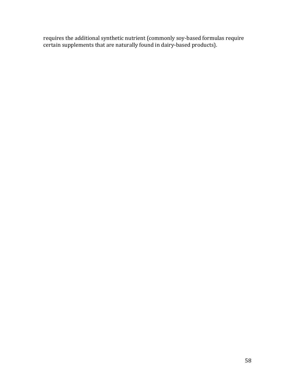requires the additional synthetic nutrient (commonly soy-based formulas require certain supplements that are naturally found in dairy-based products).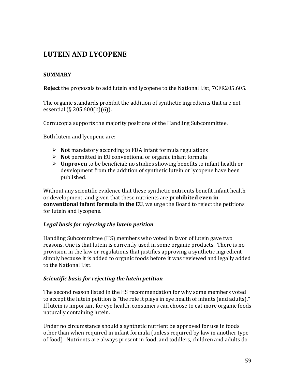# **LUTEIN!AND!LYCOPENE**

# **SUMMARY!**

**Reject** the proposals to add lutein and lycopene to the National List, 7CFR205.605.

The organic standards prohibit the addition of synthetic ingredients that are not essential  $(S.205.600(b)(6))$ .

Cornucopia supports the majority positions of the Handling Subcommittee.

Both lutein and lycopene are:

- $\triangleright$  **Not** mandatory according to FDA infant formula regulations
- $\triangleright$  **Not** permitted in EU conventional or organic infant formula
- **EXECUTE:** Unproven to be beneficial: no studies showing benefits to infant health or development from the addition of synthetic lutein or lycopene have been published.

Without any scientific evidence that these synthetic nutrients benefit infant health or development, and given that these nutrients are **prohibited even in conventional infant formula in the EU**, we urge the Board to reject the petitions for lutein and lycopene.

# *Legal)basis)for)rejecting)the)lutein)petition*

Handling Subcommittee (HS) members who voted in favor of lutein gave two reasons. One is that lutein is currently used in some organic products. There is no provision in the law or regulations that justifies approving a synthetic ingredient simply because it is added to organic foods before it was reviewed and legally added to the National List.

# *Scientific)basis)for)rejecting)the)lutein)petition*

The second reason listed in the HS recommendation for why some members voted to accept the lutein petition is "the role it plays in eye health of infants (and adults)." If lutein is important for eye health, consumers can choose to eat more organic foods naturally containing lutein.

Under no circumstance should a synthetic nutrient be approved for use in foods other than when required in infant formula (unless required by law in another type of food). Nutrients are always present in food, and toddlers, children and adults do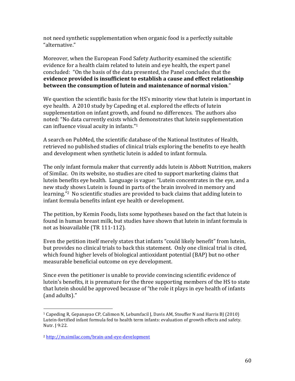not need synthetic supplementation when organic food is a perfectly suitable "alternative."

Moreover, when the European Food Safety Authority examined the scientific evidence for a health claim related to lutein and eye health, the expert panel concluded: "On the basis of the data presented, the Panel concludes that the evidence provided is insufficient to establish a cause and effect relationship **between the consumption of lutein and maintenance of normal vision."** 

We question the scientific basis for the HS's minority view that lutein is important in eye health. A 2010 study by Capeding et al. explored the effects of lutein supplementation on infant growth, and found no differences. The authors also noted: "No data currently exists which demonstrates that lutein supplementation can influence visual acuity in infants."<sup>1</sup>

A search on PubMed, the scientific database of the National Institutes of Health, retrieved no published studies of clinical trials exploring the benefits to eve health and development when synthetic lutein is added to infant formula.

The only infant formula maker that currently adds lutein is Abbott Nutrition, makers of Similac. On its website, no studies are cited to support marketing claims that lutein benefits eye health. Language is vague: "Lutein concentrates in the eye, and a new study shows Lutein is found in parts of the brain involved in memory and learning."<sup>2</sup> No scientific studies are provided to back claims that adding lutein to infant formula benefits infant eye health or development.

The petition, by Kemin Foods, lists some hypotheses based on the fact that lutein is found in human breast milk, but studies have shown that lutein in infant formula is not as bioavailable (TR 111-112).

Even the petition itself merely states that infants "could likely benefit" from lutein, but provides no clinical trials to back this statement. Only one clinical trial is cited, which found higher levels of biological antioxidant potential (BAP) but no other measurable beneficial outcome on eye development.

Since even the petitioner is unable to provide convincing scientific evidence of lutein's benefits, it is premature for the three supporting members of the HS to state that lutein should be approved because of "the role it plays in eye health of infants (and adults)."

<sup>!!!!!!!!!!!!!!!!!!!!!!!!!!!!!!!!!!!!!!!!!!!!!!!!!!!!!!!</sup> <sup>1</sup> Capeding R, Gepanayao CP, Calimon N, Lebumfacil J, Davis AM, Stouffer N and Harris BJ (2010) Lutein-fortified infant formula fed to health term infants: evaluation of growth effects and safety. Nutr. J 9:22.

<sup>&</sup>lt;sup>2</sup> http://m.similac.com/brain-and-eve-development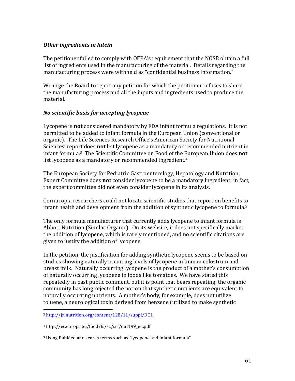#### *Other)ingredients)in)lutein*

The petitioner failed to comply with OFPA's requirement that the NOSB obtain a full list of ingredients used in the manufacturing of the material. Details regarding the manufacturing process were withheld as "confidential business information."

We urge the Board to reject any petition for which the petitioner refuses to share the manufacturing process and all the inputs and ingredients used to produce the material.

#### *No)scientific)basis)for)accepting)lycopene*

Lycopene is **not** considered mandatory by FDA infant formula regulations. It is not permitted to be added to infant formula in the European Union (conventional or organic). The Life Sciences Research Office's American Society for Nutritional Sciences' report does **not** list lycopene as a mandatory or recommended nutrient in infant formula.<sup>3</sup> The Scientific Committee on Food of the European Union does **not** list lycopene as a mandatory or recommended ingredient.<sup>4</sup>

The European Society for Pediatric Gastroenterelogy, Hepatology and Nutrition, Expert Committee does **not** consider lycopene to be a mandatory ingredient; in fact, the expert committee did not even consider lycopene in its analysis.

Cornucopia researchers could not locate scientific studies that report on benefits to infant health and development from the addition of synthetic lycopene to formula.<sup>5</sup>

The only formula manufacturer that currently adds lycopene to infant formula is Abbott Nutrition (Similac Organic). On its website, it does not specifically market the addition of lycopene, which is rarely mentioned, and no scientific citations are given to justify the addition of lycopene.

In the petition, the justification for adding synthetic lycopene seems to be based on studies showing naturally occurring levels of lycopene in human colostrum and breast milk. Naturally occurring lycopene is the product of a mother's consumption of naturally occurring lycopene in foods like tomatoes. We have stated this repeatedly in past public comment, but it is point that bears repeating: the organic community has long rejected the notion that synthetic nutrients are equivalent to naturally occurring nutrients. A mother's body, for example, does not utilize toluene, a neurological toxin derived from benzene (utilized to make synthetic

!!!!!!!!!!!!!!!!!!!!!!!!!!!!!!!!!!!!!!!!!!!!!!!!!!!!!!!

<sup>3</sup> http://jn.nutrition.org/content/128/11/suppl/DC1

<sup>4!</sup>http://ec.europa.eu/food/fs/sc/scf/out199\_en.pdf

<sup>&</sup>lt;sup>5</sup> Using PubMed and search terms such as "lycopene and infant formula"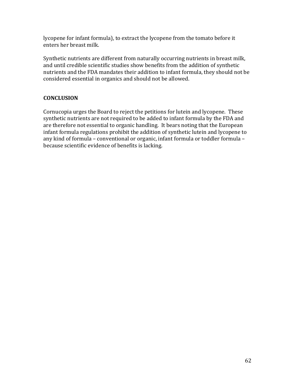lycopene for infant formula), to extract the lycopene from the tomato before it enters her breast milk.

Synthetic nutrients are different from naturally occurring nutrients in breast milk, and until credible scientific studies show benefits from the addition of synthetic nutrients and the FDA mandates their addition to infant formula, they should not be considered essential in organics and should not be allowed.

# **CONCLUSION!**

Cornucopia urges the Board to reject the petitions for lutein and lycopene. These synthetic nutrients are not required to be added to infant formula by the FDA and are therefore not essential to organic handling. It bears noting that the European infant formula regulations prohibit the addition of synthetic lutein and lycopene to any kind of formula – conventional or organic, infant formula or toddler formula – because scientific evidence of benefits is lacking.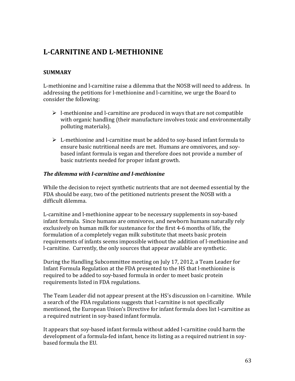# **L-CARNITINE AND L-METHIONINE**

# **SUMMARY**

L-methionine and l-carnitine raise a dilemma that the NOSB will need to address. In addressing the petitions for l-methionine and l-carnitine, we urge the Board to consider the following:

- $\triangleright$  1-methionine and 1-carnitine are produced in ways that are not compatible with organic handling (their manufacture involves toxic and environmentally polluting materials).
- $\triangleright$  L-methionine and l-carnitine must be added to soy-based infant formula to ensure basic nutritional needs are met. Humans are omnivores, and soybased infant formula is vegan and therefore does not provide a number of basic nutrients needed for proper infant growth.

#### *The dilemma with l-carnitine and l-methionine*

While the decision to reject synthetic nutrients that are not deemed essential by the FDA should be easy, two of the petitioned nutrients present the NOSB with a difficult dilemma.

L-carnitine and l-methionine appear to be necessary supplements in soy-based infant formula. Since humans are omnivores, and newborn humans naturally rely exclusively on human milk for sustenance for the first 4-6 months of life, the formulation of a completely vegan milk substitute that meets basic protein requirements of infants seems impossible without the addition of l-methionine and l-carnitine. Currently, the only sources that appear available are synthetic.

During the Handling Subcommittee meeting on July 17, 2012, a Team Leader for Infant Formula Regulation at the FDA presented to the HS that l-methionine is required to be added to soy-based formula in order to meet basic protein requirements listed in FDA regulations.

The Team Leader did not appear present at the HS's discussion on l-carnitine. While a search of the FDA regulations suggests that l-carnitine is not specifically mentioned, the European Union's Directive for infant formula does list l-carnitine as a required nutrient in soy-based infant formula.

It appears that soy-based infant formula without added I-carnitine could harm the development of a formula-fed infant, hence its listing as a required nutrient in soybased formula the EU.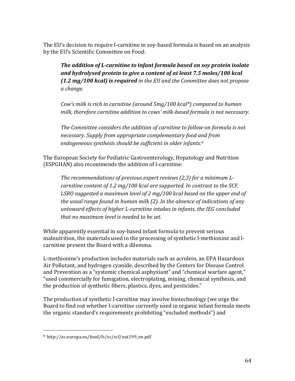The EU's decision to require l-carnitine in soy-based formula is based on an analysis by the EU's Scientific Committee on Food:

*The addition of L-carnitine to infant formula based on soy protein isolate* and hydrolysed protein to give a content of at least 7.5 moles/100 kcal *(1.2)mg/100)kcal))is)required'in'the'EU'and'the'Committee'does'not'propose' a'change.*

*Cow's milk is rich in carnitine (around 5mg/100 kcal\*) compared to human* milk, therefore carnitine addition to cows' milk-based formula is not necessary.

The Committee considers the addition of carnitine to follow-on formula is not *necessary.'Supply'from'appropriate'complementary'food'and'from'* endogeneous synthesis should be sufficient in older infants.<sup>6</sup>

The European Society for Pediatric Gastroenterology, Hepatology and Nutrition (ESPGHAN) also recommends the addition of l-carnitine:

The recommendations of previous expert reviews (2,3) for a minimum Lcarnitine content of 1.2 mg/100 kcal are supported. In contrast to the SCF, LSRO suggested a maximum level of 2 mg/100 kcal based on the upper end of the usual range found in human milk (2). In the absence of indications of any *untoward'effects'of'higher'L?carnitine'intakes'in'infants,'the'IEG'concluded' that'no'maximum'level'is'needed'to'be'set.*

While apparently essential in soy-based infant formula to prevent serious malnutrition, the materials used in the processing of synthetic l-methionine and lcarnitine present the Board with a dilemma.

L-methionine's production includes materials such as acrolein, an EPA Hazardous Air Pollutant, and hydrogen cyanide, described by the Centers for Disease Control and Prevention as a "systemic chemical asphyxiant" and "chemical warfare agent," "used commercially for fumigation, electroplating, mining, chemical synthesis, and the production of synthetic fibers, plastics, dyes, and pesticides."

The production of synthetic l-carnitine may involve biotechnology (we urge the Board to find out whether l-carnitine currently used in organic infant formula meets the organic standard's requirements prohibiting "excluded methods") and

!!!!!!!!!!!!!!!!!!!!!!!!!!!!!!!!!!!!!!!!!!!!!!!!!!!!!!!

<sup>6</sup> http://ec.europa.eu/food/fs/sc/scf/out199\_en.pdf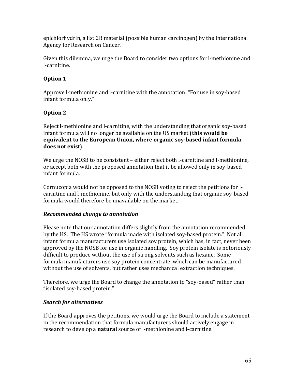epichlorhydrin, a list 2B material (possible human carcinogen) by the International Agency for Research on Cancer.

Given this dilemma, we urge the Board to consider two options for l-methionine and l-carnitine.

# **Option!1**

Approve l-methionine and l-carnitine with the annotation: "For use in soy-based infant formula only."

# **Option 2**

Reject I-methionine and I-carnitine, with the understanding that organic soy-based infant formula will no longer be available on the US market (**this would be equivalent to the European Union, where organic soy-based infant formula** does not exist).

We urge the NOSB to be consistent – either reject both l-carnitine and l-methionine, or accept both with the proposed annotation that it be allowed only in soy-based infant formula.

Cornucopia would not be opposed to the NOSB voting to reject the petitions for lcarnitine and l-methionine, but only with the understanding that organic soy-based formula would therefore be unavailable on the market.

# **Recommended change to annotation**

Please note that our annotation differs slightly from the annotation recommended by the HS. The HS wrote "formula made with isolated soy-based protein." Not all infant formula manufacturers use isolated soy protein, which has, in fact, never been approved by the NOSB for use in organic handling. Soy protein isolate is notoriously difficult to produce without the use of strong solvents such as hexane. Some formula manufacturers use soy protein concentrate, which can be manufactured without the use of solvents, but rather uses mechanical extraction techniques.

Therefore, we urge the Board to change the annotation to "soy-based" rather than "isolated soy-based protein."

# *Search for alternatives*

If the Board approves the petitions, we would urge the Board to include a statement in the recommendation that formula manufacturers should actively engage in research to develop a **natural** source of l-methionine and l-carnitine.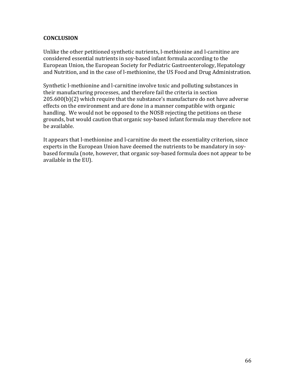## **CONCLUSION!**

Unlike the other petitioned synthetic nutrients, l-methionine and l-carnitine are considered essential nutrients in soy-based infant formula according to the European Union, the European Society for Pediatric Gastroenterology, Hepatology and Nutrition, and in the case of l-methionine, the US Food and Drug Administration.

Synthetic l-methionine and l-carnitine involve toxic and polluting substances in their manufacturing processes, and therefore fail the criteria in section  $205.600(b)(2)$  which require that the substance's manufacture do not have adverse effects on the environment and are done in a manner compatible with organic handling. We would not be opposed to the NOSB rejecting the petitions on these grounds, but would caution that organic soy-based infant formula may therefore not be available.

It appears that l-methionine and l-carnitine do meet the essentiality criterion, since experts in the European Union have deemed the nutrients to be mandatory in soybased formula (note, however, that organic soy-based formula does not appear to be available in the EU).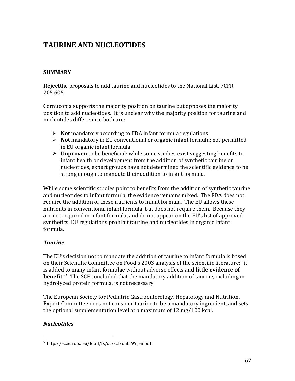# **TAURINE!AND!NUCLEOTIDES**

# **SUMMARY!**

**Reject**the proposals to add taurine and nucleotides to the National List, 7CFR 205.605.

Cornucopia supports the majority position on taurine but opposes the majority position to add nucleotides. It is unclear why the majority position for taurine and nucleotides differ, since both are:

- **Not** mandatory according to FDA infant formula regulations
- $\triangleright$  **Not** mandatory in EU conventional or organic infant formula; not permitted in EU organic infant formula
- $\triangleright$  **Unproven** to be beneficial: while some studies exist suggesting benefits to infant health or development from the addition of synthetic taurine or nucleotides, expert groups have not determined the scientific evidence to be strong enough to mandate their addition to infant formula.

While some scientific studies point to benefits from the addition of synthetic taurine and nucleotides to infant formula, the evidence remains mixed. The FDA does not require the addition of these nutrients to infant formula. The EU allows these nutrients in conventional infant formula, but does not require them. Because they are not required in infant formula, and do not appear on the EU's list of approved synthetics, EU regulations prohibit taurine and nucleotides in organic infant formula.

# *Taurine*

The EU's decision not to mandate the addition of taurine to infant formula is based on their Scientific Committee on Food's 2003 analysis of the scientific literature: "it is added to many infant formulae without adverse effects and **little evidence of benefit.**"7 The SCF concluded that the mandatory addition of taurine, including in hydrolyzed protein formula, is not necessary.

The European Society for Pediatric Gastroenterelogy, Hepatology and Nutrition, Expert Committee does not consider taurine to be a mandatory ingredient, and sets the optional supplementation level at a maximum of  $12$  mg/100 kcal.

# *Nucleotides*

!!!!!!!!!!!!!!!!!!!!!!!!!!!!!!!!!!!!!!!!!!!!!!!!!!!!!!!

<sup>7</sup> http://ec.europa.eu/food/fs/sc/scf/out199\_en.pdf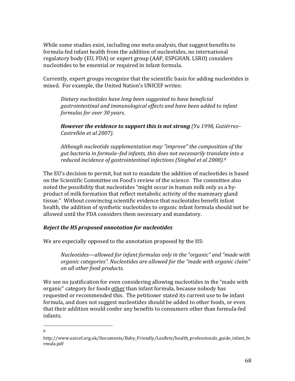While some studies exist, including one meta-analysis, that suggest benefits to formula-fed infant health from the addition of nucleotides, no international regulatory body (EU, FDA) or expert group (AAP, ESPGHAN, LSRO) considers nucleotides to be essential or required in infant formula.

Currently, expert groups recognize that the scientific basis for adding nucleotides is mixed. For example, the United Nation's UNICEF writes:

*Dietary'nucleotides'have'long'been'suggested'to'have'beneficial' gastrointestinal'and'immunological'effects'and'have'been'added'to'infant' formulas'for'over'30'years.*

*However the evidence to support this is not strong* (Yu 1998, Gutiérrez– *Castrellón'et'al'2007).'*

*Although'nucleotide'supplementation'may'"improve"'the'composition'of'the' gut'bacteria'in'formula–fed'infants,'this'does'not'necessarily'translate'into'a'* reduced incidence of gastrointestinal infections (Singhal et al 2008).<sup>8</sup>

The EU's decision to permit, but not to mandate the addition of nucleotides is based on the Scientific Committee on Food's review of the science. The committee also noted the possibility that nucleotides "might occur in human milk only as a byproduct of milk formation that reflect metabolic activity of the mammary gland tissue." Without convincing scientific evidence that nucleotides benefit infant health, the addition of synthetic nucleotides to organic infant formula should not be allowed until the FDA considers them necessary and mandatory.

# **Reject the HS proposed annotation for nucleotides**

We are especially opposed to the annotation proposed by the HS:

*Nucleotides—allowed'for'infant'formulas'only'in'the'"organic"'and'"made'with' organic categories". Nucleotides are allowed for the "made with organic claim" on'all'other'food'products.*

We see no justification for even considering allowing nucleotides in the "made with" organic" category for foods other than infant formula, because nobody has requested or recommended this. The petitioner stated its current use to be infant formula, and does not suggest nucleotides should be added to other foods, or even that their addition would confer any benefits to consumers other than formula-fed infants.

#### !!!!!!!!!!!!!!!!!!!!!!!!!!!!!!!!!!!!!!!!!!!!!!!!!!!!!!! 8

http://www.unicef.org.uk/Documents/Baby Friendly/Leaflets/health\_professionals\_guide\_infant\_fo rmula.pdf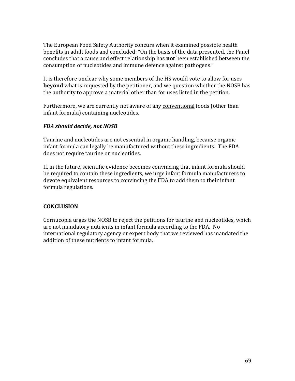The European Food Safety Authority concurs when it examined possible health benefits in adult foods and concluded: "On the basis of the data presented, the Panel concludes that a cause and effect relationship has **not** been established between the consumption of nucleotides and immune defence against pathogens."

It is therefore unclear why some members of the HS would vote to allow for uses **beyond** what is requested by the petitioner, and we question whether the NOSB has the authority to approve a material other than for uses listed in the petition.

Furthermore, we are currently not aware of any conventional foods (other than infant formula) containing nucleotides.

## *FDA)should)decide,)not)NOSB*

Taurine and nucleotides are not essential in organic handling, because organic infant formula can legally be manufactured without these ingredients. The FDA does not require taurine or nucleotides.

If, in the future, scientific evidence becomes convincing that infant formula should be required to contain these ingredients, we urge infant formula manufacturers to devote equivalent resources to convincing the FDA to add them to their infant formula regulations.

# **CONCLUSION!**

Cornucopia urges the NOSB to reject the petitions for taurine and nucleotides, which are not mandatory nutrients in infant formula according to the FDA. No international regulatory agency or expert body that we reviewed has mandated the addition of these nutrients to infant formula.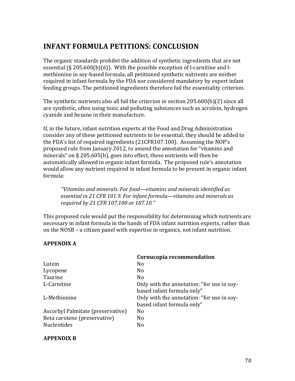# **INFANT FORMULA PETITIONS: CONCLUSION**

The organic standards prohibit the addition of synthetic ingredients that are not essential  $(\S 205.600(b)(6))$ . With the possible exception of l-carnitine and lmethionine in soy-based formula, all petitioned synthetic nutrients are neither required in infant formula by the FDA nor considered mandatory by expert infant feeding groups. The petitioned ingredients therefore fail the essentiality criterion.

The synthetic nutrients also all fail the criterion in section  $205.600(b)(2)$  since all are synthetic, often using toxic and polluting substances such as acrolein, hydrogen cyanide and hexane in their manufacture.

If, in the future, infant nutrition experts at the Food and Drug Administration consider any of these petitioned nutrients to be essential, they should be added to the FDA's list of required ingredients (21CFR107.100). Assuming the NOP's proposed rule from January 2012, to amend the annotation for "vitamins and minerals" on  $\S 205.605(b)$ , goes into effect, these nutrients will then be automatically allowed in organic infant formula. The proposed rule's annotation would allow any nutrient required in infant formula to be present in organic infant formula:

*''Vitamins'and'minerals.'For'food—vitamins'and'minerals'identified'as' essential'in'21'CFR'101.9.'For infant'formula—vitamins'and'minerals'as' required'by'21'CFR'107.100'or'107.10.'''*

This proposed rule would put the responsibility for determining which nutrients are necessary in infant formula in the hands of FDA infant nutrition experts, rather than on the NOSB – a citizen panel with expertise in organics, not infant nutrition.

# **APPENDIX!A**

|                                   | Cornucopia recommendation                  |
|-----------------------------------|--------------------------------------------|
| Lutein                            | N <sub>0</sub>                             |
| Lycopene                          | N <sub>0</sub>                             |
| Taurine                           | N <sub>0</sub>                             |
| L-Carnitine                       | Only with the annotation: "for use in soy- |
|                                   | based infant formula only"                 |
| L-Methionine                      | Only with the annotation: "for use in soy- |
|                                   | based infant formula only"                 |
| Ascorbyl Palmitate (preservative) | N <sub>0</sub>                             |
| Beta carotene (preservative)      | No                                         |
| Nucleotides                       | No                                         |

#### **APPENDIX!B**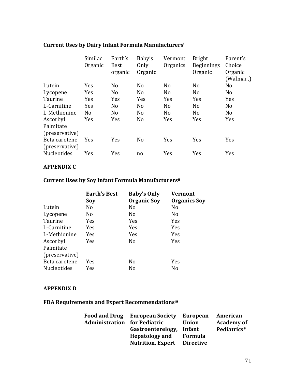|                                 | Similac<br>Organic | Earth's<br><b>Best</b><br>organic | Baby's<br>Only<br>Organic | Vermont<br>Organics | <b>Bright</b><br><b>Beginnings</b><br>Organic | Parent's<br>Choice<br>Organic<br>(Walmart) |
|---------------------------------|--------------------|-----------------------------------|---------------------------|---------------------|-----------------------------------------------|--------------------------------------------|
| Lutein                          | Yes                | N <sub>o</sub>                    | N <sub>o</sub>            | No                  | N <sub>o</sub>                                | N <sub>o</sub>                             |
| Lycopene                        | Yes                | N <sub>o</sub>                    | N <sub>o</sub>            | No                  | N <sub>o</sub>                                | N <sub>o</sub>                             |
| Taurine                         | Yes                | Yes                               | Yes                       | Yes                 | <b>Yes</b>                                    | <b>Yes</b>                                 |
| L-Carnitine                     | Yes                | N <sub>o</sub>                    | N <sub>o</sub>            | N <sub>0</sub>      | N <sub>o</sub>                                | N <sub>o</sub>                             |
| L-Methionine                    | N <sub>o</sub>     | N <sub>o</sub>                    | N <sub>o</sub>            | N <sub>o</sub>      | N <sub>o</sub>                                | N <sub>o</sub>                             |
| Ascorbyl                        | <b>Yes</b>         | Yes                               | N <sub>o</sub>            | <b>Yes</b>          | <b>Yes</b>                                    | <b>Yes</b>                                 |
| Palmitate<br>(preservative)     |                    |                                   |                           |                     |                                               |                                            |
| Beta carotene<br>(preservative) | <b>Yes</b>         | Yes                               | N <sub>o</sub>            | <b>Yes</b>          | Yes                                           | Yes                                        |
| <b>Nucleotides</b>              | Yes                | Yes                               | no                        | Yes                 | Yes                                           | Yes                                        |

# **Current Uses by Dairy Infant Formula Manufacturersi**

## **APPENDIX C**

## **Current Uses by Soy Infant Formula Manufacturersii**

|                    | <b>Earth's Best</b> | <b>Baby's Only</b> | Vermont             |
|--------------------|---------------------|--------------------|---------------------|
|                    | Soy                 | <b>Organic Soy</b> | <b>Organics Soy</b> |
| Lutein             | No                  | No                 | No                  |
| Lycopene           | No                  | No                 | No                  |
| Taurine            | Yes                 | <b>Yes</b>         | <b>Yes</b>          |
| L-Carnitine        | Yes                 | <b>Yes</b>         | Yes                 |
| L-Methionine       | Yes                 | Yes                | Yes                 |
| Ascorbyl           | Yes                 | N <sub>0</sub>     | Yes                 |
| Palmitate          |                     |                    |                     |
| (preservative)     |                     |                    |                     |
| Beta carotene      | Yes                 | N <sub>o</sub>     | Yes                 |
| <b>Nucleotides</b> | Yes                 | No                 | No                  |

#### **APPENDIX!D**

## FDA Requirements and Expert Recommendationsiii

|                       | <b>Food and Drug European Society</b> | <b>European</b>  | American          |
|-----------------------|---------------------------------------|------------------|-------------------|
| <b>Administration</b> | for Pediatric                         | <b>Union</b>     | <b>Academy of</b> |
|                       | Gastroenterelogy,                     | Infant           | Pediatrics*       |
|                       | <b>Hepatology</b> and                 | <b>Formula</b>   |                   |
|                       | <b>Nutrition, Expert</b>              | <b>Directive</b> |                   |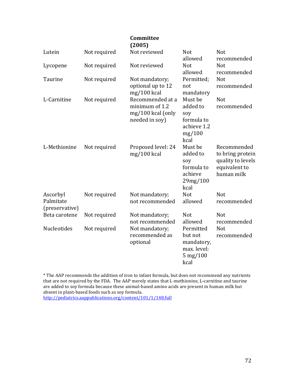|                                         |              | Committee<br>(2005)                                                       |                                                                           |                                                                                     |
|-----------------------------------------|--------------|---------------------------------------------------------------------------|---------------------------------------------------------------------------|-------------------------------------------------------------------------------------|
| Lutein                                  | Not required | Not reviewed                                                              | <b>Not</b><br>allowed                                                     | <b>Not</b><br>recommended                                                           |
| Lycopene                                | Not required | Not reviewed                                                              | <b>Not</b><br>allowed                                                     | <b>Not</b><br>recommended                                                           |
| Taurine                                 | Not required | Not mandatory;<br>optional up to 12<br>$mg/100$ kcal                      | Permitted;<br>not<br>mandatory                                            | Not<br>recommended                                                                  |
| L-Carnitine                             | Not required | Recommended at a<br>minimum of 1.2<br>mg/100 kcal (only<br>needed in soy) | Must be<br>added to<br>soy<br>formula to<br>achieve 1.2<br>mg/100<br>kcal | Not<br>recommended                                                                  |
| L-Methionine                            | Not required | Proposed level: 24<br>$mg/100$ kcal                                       | Must be<br>added to<br>soy<br>formula to<br>achieve<br>29mg/100<br>kcal   | Recommended<br>to bring protein<br>quality to levels<br>equivalent to<br>human milk |
| Ascorbyl<br>Palmitate<br>(preservative) | Not required | Not mandatory;<br>not recommended                                         | <b>Not</b><br>allowed                                                     | <b>Not</b><br>recommended                                                           |
| Beta carotene                           | Not required | Not mandatory;<br>not recommended                                         | <b>Not</b><br>allowed                                                     | <b>Not</b><br>recommended                                                           |
| <b>Nucleotides</b>                      | Not required | Not mandatory;<br>recommended as<br>optional                              | Permitted<br>but not<br>mandatory,<br>max. level:<br>$5$ mg/100<br>kcal   | <b>Not</b><br>recommended                                                           |

\* The AAP recommends the addition of iron to infant formula, but does not recommend any nutrients that are not required by the FDA. The AAP merely states that L-methionine, L-carnitine and taurine are added to soy formula because these animal-based amino acids are present in human milk but absent in plant-based foods such as soy formula.

http://pediatrics.aappublications.org/content/101/1/148.full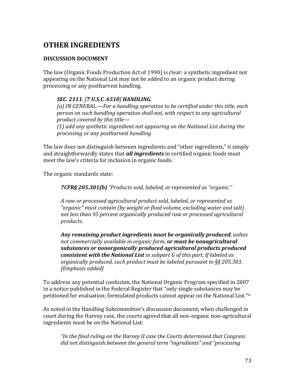# **OTHER!INGREDIENTS!**

### **DISCUSSION!DOCUMENT**

The law (Organic Foods Production Act of 1990) is clear: a synthetic ingredient not appearing on the National List may not be added to an organic product during processing or any postharvest handling.

#### *SEC.)2111.)[7)U.S.C.)6510]'HANDLING.*

*(a)'IN'GENERAL.—For'a'handling'operation'to'be'certified'under'this'title,'each' person'on'such'handling'operation'shall'not,'with'respect'to'any'agricultural' product'covered'by'this'title—*

*(1)'add'any'synthetic'ingredient'not'appearing'on'the'National'List'during'the' processing'or'any'postharvest'handling*

The law does not distinguish between ingredients and "other ingredients," it simply and straightforwardly states that **all ingredients** in certified organic foods must meet the law's criteria for inclusion in organic foods.

The organic standards state:

*7CFR§)205.301(b)'"Products'sold,'labeled,'or'represented'as'"organic."'*

*A'raw'or'processed'agricultural'product'sold,'labeled,'or'represented'as' "organic"'must'contain'(by'weight'or'fluid'volume,'excluding'water'and'salt)' not'less'than'95'percent'organically'produced'raw'or'processed'agricultural' products.'*

*Any)remaining)product)ingredients)must)be)organically)produced,'unless' not commercially available in organic form, or must be nonagricultural substances)or)nonorganically)produced)agricultural)products)produced)* **consistent with the National List** in subpart G of this part. If labeled as *organically'produced,'such'product'must'be'labeled'pursuant'to'§§'205.303.' [Emphasis'added]*

To address any potential confusion, the National Organic Program specified in 2007 in a notice published in the Federal Register that "only single substances may be petitioned for evaluation; formulated products cannot appear on the National List."iv

As noted in the Handling Subcommittee's discussion document, when challenged in court during the Harvey case, the courts agreed that all non-organic non-agricultural ingredients must be on the National List:

*"In'the'final'ruling'on'the'Harvey'II'case'the'Courts'determined'that'Congress'* did not distinguish between the general term "ingredients" and "processing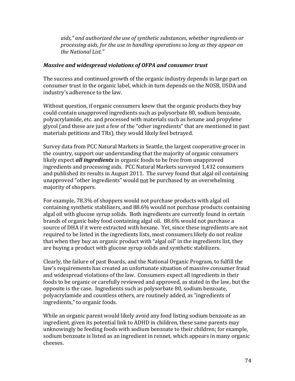*aids,"'and'authorized'the'use'of'synthetic'substances,'whether'ingredients'or' processing'aids,'for'the'use'in'handling'operations'so'long'as'they'appear'on' the'National'List."*

#### *Massive and widespread violations of OFPA and consumer trust*

The success and continued growth of the organic industry depends in large part on consumer trust in the organic label, which in turn depends on the NOSB, USDA and industry's adherence to the law.

Without question, if organic consumers knew that the organic products they buy could contain unapproved ingredients such as polysorbate 80, sodium benzoate, polyacrylamide, etc. and processed with materials such as hexane and propylene glycol (and these are just a few of the "other ingredients" that are mentioned in past materials petitions and TRs), they would likely feel betrayed.

Survey data from PCC Natural Markets in Seattle, the largest cooperative grocer in the country, support our understanding that the majority of organic consumers likely expect *all ingredients* in organic foods to be free from unapproved ingredients and processing aids. PCC Natural Markets surveyed 1,432 consumers and published its results in August 2011. The survey found that algal oil containing unapproved "other ingredients" would not be purchased by an overwhelming majority of shoppers.

For example, 78.3% of shoppers would not purchase products with algal oil containing synthetic stabilizers, and 88.6% would not purchase products containing algal oil with glucose syrup solids. Both ingredients are currently found in certain brands of organic baby food containing algal oil. 88.6% would not purchase a source of DHA if it were extracted with hexane. Yet, since these ingredients are not required to be listed in the ingredients lists, most consumers likely do not realize that when they buy an organic product with "algal oil" in the ingredients list, they are buying a product with glucose syrup solids and synthetic stabilizers.

Clearly, the failure of past Boards, and the National Organic Program, to fulfill the law's requirements has created an unfortunate situation of massive consumer fraud and widespread violations of the law. Consumers expect all ingredients in their foods to be organic or carefully reviewed and approved, as stated in the law, but the opposite is the case. Ingredients such as polysorbate 80, sodium benzoate, polyacrylamide and countless others, are routinely added, as "ingredients of ingredients," to organic foods.

While an organic parent would likely avoid any food listing sodium benzoate as an ingredient, given its potential link to ADHD in children, these same parents may unknowingly be feeding foods with sodium benzoate to their children; for example, sodium benzoate is listed as an ingredient in rennet, which appears in many organic cheeses.!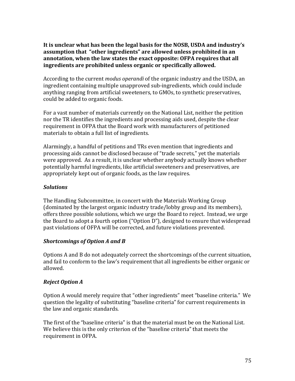It is unclear what has been the legal basis for the NOSB, USDA and industry's assumption that "other ingredients" are allowed unless prohibited in an annotation, when the law states the exact opposite: OFPA requires that all ingredients are prohibited unless organic or specifically allowed.

According to the current *modus operandi* of the organic industry and the USDA, an ingredient containing multiple unapproved sub-ingredients, which could include anything ranging from artificial sweeteners, to GMOs, to synthetic preservatives, could be added to organic foods.

For a vast number of materials currently on the National List, neither the petition nor the TR identifies the ingredients and processing aids used, despite the clear requirement in OFPA that the Board work with manufacturers of petitioned materials to obtain a full list of ingredients.

Alarmingly, a handful of petitions and TRs even mention that ingredients and processing aids cannot be disclosed because of "trade secrets," yet the materials were approved. As a result, it is unclear whether anybody actually knows whether potentially harmful ingredients, like artificial sweeteners and preservatives, are appropriately kept out of organic foods, as the law requires.

#### *Solutions*

The Handling Subcommittee, in concert with the Materials Working Group (dominated by the largest organic industry trade/lobby group and its members), offers three possible solutions, which we urge the Board to reject. Instead, we urge the Board to adopt a fourth option ("Option D"), designed to ensure that widespread past violations of OFPA will be corrected, and future violations prevented.

#### *Shortcomings of Option A and B*

Options A and B do not adequately correct the shortcomings of the current situation, and fail to conform to the law's requirement that all ingredients be either organic or allowed.

# **Reject Option A**

Option A would merely require that "other ingredients" meet "baseline criteria." We question the legality of substituting "baseline criteria" for current requirements in the law and organic standards.

The first of the "baseline criteria" is that the material must be on the National List. We believe this is the only criterion of the "baseline criteria" that meets the requirement in OFPA.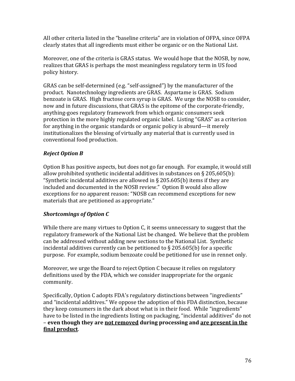All other criteria listed in the "baseline criteria" are in violation of OFPA, since OFPA clearly states that all ingredients must either be organic or on the National List.

Moreover, one of the criteria is GRAS status. We would hope that the NOSB, by now, realizes that GRAS is perhaps the most meaningless regulatory term in US food policy history.

GRAS can be self-determined (e.g. "self-assigned") by the manufacturer of the product. Nanotechnology ingredients are GRAS. Aspartame is GRAS. Sodium benzoate is GRAS. High fructose corn syrup is GRAS. We urge the NOSB to consider, now and in future discussions, that GRAS is the epitome of the corporate-friendly, anything-goes regulatory framework from which organic consumers seek protection in the more highly regulated organic label. Listing "GRAS" as a criterion for anything in the organic standards or organic policy is absurd—it merely institutionalizes the blessing of virtually any material that is currently used in conventional food production.

# **Reject Option B**

Option B has positive aspects, but does not go far enough. For example, it would still allow prohibited synthetic incidental additives in substances on § 205,605(b): "Synthetic incidental additives are allowed in § 205.605(b) items if they are included and documented in the NOSB review." Option B would also allow exceptions for no apparent reason: "NOSB can recommend exceptions for new materials that are petitioned as appropriate."

# **Shortcomings of Option C**

While there are many virtues to Option C, it seems unnecessary to suggest that the regulatory framework of the National List be changed. We believe that the problem can be addressed without adding new sections to the National List. Synthetic incidental additives currently can be petitioned to  $\S$  205.605(b) for a specific purpose. For example, sodium benzoate could be petitioned for use in rennet only.

Moreover, we urge the Board to reject Option C because it relies on regulatory definitions used by the FDA, which we consider inappropriate for the organic community.

Specifically, Option C adopts FDA's regulatory distinctions between "ingredients" and "incidental additives." We oppose the adoption of this FDA distinction, because they keep consumers in the dark about what is in their food. While "ingredients" have to be listed in the ingredients listing on packaging, "incidental additives" do not – even though they are not removed during processing and are present in the final product.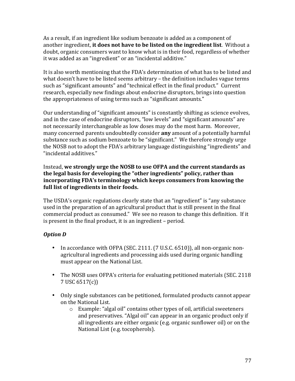As a result, if an ingredient like sodium benzoate is added as a component of another ingredient, it does not have to be listed on the ingredient list. Without a doubt, organic consumers want to know what is in their food, regardless of whether it was added as an "ingredient" or an "incidental additive."

It is also worth mentioning that the FDA's determination of what has to be listed and what doesn't have to be listed seems arbitrary – the definition includes vague terms such as "significant amounts" and "technical effect in the final product." Current research, especially new findings about endocrine disruptors, brings into question the appropriateness of using terms such as "significant amounts."

Our understanding of "significant amounts" is constantly shifting as science evolves, and in the case of endocrine disruptors, "low levels" and "significant amounts" are not necessarily interchangeable as low doses may do the most harm. Moreover, many concerned parents undoubtedly consider **any** amount of a potentially harmful substance such as sodium benzoate to be "significant." We therefore strongly urge the NOSB not to adopt the FDA's arbitrary language distinguishing "ingredients" and "incidental additives."

Instead, we strongly urge the NOSB to use OFPA and the current standards as the legal basis for developing the "other ingredients" policy, rather than incorporating FDA's terminology which keeps consumers from knowing the full list of ingredients in their foods.

The USDA's organic regulations clearly state that an "ingredient" is "any substance used in the preparation of an agricultural product that is still present in the final commercial product as consumed." We see no reason to change this definition. If it is present in the final product, it is an ingredient – period.

# *Option)D)*

- In accordance with OFPA (SEC. 2111. (7 U.S.C. 6510)), all non-organic nonagricultural ingredients and processing aids used during organic handling must appear on the National List.
- The NOSB uses OFPA's criteria for evaluating petitioned materials (SEC. 2118) 7 USC 6517(c))
- Only single substances can be petitioned, formulated products cannot appear on the National List.
	- $\circ$  Example: "algal oil" contains other types of oil, artificial sweeteners and preservatives. "Algal oil" can appear in an organic product only if all ingredients are either organic (e.g. organic sunflower oil) or on the National List (e.g. tocopherols).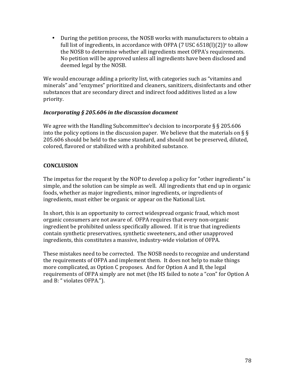• During the petition process, the NOSB works with manufacturers to obtain a full list of ingredients, in accordance with OFPA (7 USC 6518(l)(2))<sup>v</sup> to allow the NOSB to determine whether all ingredients meet OFPA's requirements. No petition will be approved unless all ingredients have been disclosed and deemed legal by the NOSB.

We would encourage adding a priority list, with categories such as "vitamins and minerals" and "enzymes" prioritized and cleaners, sanitizers, disinfectants and other substances that are secondary direct and indirect food additives listed as a low priority.

#### *Incorporating § 205.606 in the discussion document*

We agree with the Handling Subcommittee's decision to incorporate § § 205.606 into the policy options in the discussion paper. We believe that the materials on  $\S$ 205.606 should be held to the same standard, and should not be preserved, diluted, colored, flavored or stabilized with a prohibited substance.

# **CONCLUSION!**

The impetus for the request by the NOP to develop a policy for "other ingredients" is simple, and the solution can be simple as well. All ingredients that end up in organic foods, whether as major ingredients, minor ingredients, or ingredients of ingredients, must either be organic or appear on the National List.

In short, this is an opportunity to correct widespread organic fraud, which most organic consumers are not aware of. OFPA requires that every non-organic ingredient be prohibited unless specifically allowed. If it is true that ingredients contain synthetic preservatives, synthetic sweeteners, and other unapproved ingredients, this constitutes a massive, industry-wide violation of OFPA.

These mistakes need to be corrected. The NOSB needs to recognize and understand the requirements of OFPA and implement them. It does not help to make things more complicated, as Option C proposes. And for Option A and B, the legal requirements of OFPA simply are not met (the HS failed to note a "con" for Option A and B: " violates OFPA.").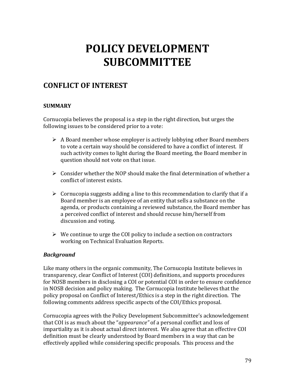# **POLICY!DEVELOPMENT! SUBCOMMITTEE**

# **CONFLICT!OF!INTEREST**

# **SUMMARY**

Cornucopia believes the proposal is a step in the right direction, but urges the following issues to be considered prior to a vote:

- $\triangleright$  A Board member whose employer is actively lobbying other Board members to vote a certain way should be considered to have a conflict of interest. If such activity comes to light during the Board meeting, the Board member in question should not vote on that issue.
- $\triangleright$  Consider whether the NOP should make the final determination of whether a conflict of interest exists.
- $\triangleright$  Cornucopia suggests adding a line to this recommendation to clarify that if a Board member is an employee of an entity that sells a substance on the agenda, or products containing a reviewed substance, the Board member has a perceived conflict of interest and should recuse him/herself from discussion and voting.
- $\triangleright$  We continue to urge the COI policy to include a section on contractors working on Technical Evaluation Reports.

#### *Background*

Like many others in the organic community, The Cornucopia Institute believes in transparency, clear Conflict of Interest (COI) definitions, and supports procedures for NOSB members in disclosing a COI or potential COI in order to ensure confidence in NOSB decision and policy making. The Cornucopia Institute believes that the policy proposal on Conflict of Interest/Ethics is a step in the right direction. The following comments address specific aspects of the COI/Ethics proposal.

Cornucopia agrees with the Policy Development Subcommittee's acknowledgement that COI is as much about the "*appearance"* of a personal conflict and loss of impartiality as it is about actual direct interest. We also agree that an effective COI definition must be clearly understood by Board members in a way that can be effectively applied while considering specific proposals. This process and the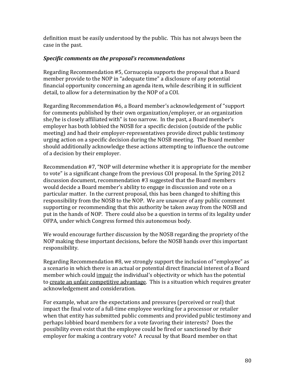definition must be easily understood by the public. This has not always been the case in the past.

#### *Specific)comments)on)the)proposal's)recommendations*

Regarding Recommendation #5, Cornucopia supports the proposal that a Board member provide to the NOP in "adequate time" a disclosure of any potential financial opportunity concerning an agenda item, while describing it in sufficient detail, to allow for a determination by the NOP of a COI.

Regarding Recommendation #6, a Board member's acknowledgement of "support" for comments published by their own organization/employer, or an organization she/he is closely affiliated with" is too narrow. In the past, a Board member's employer has both lobbied the NOSB for a specific decision (outside of the public meeting) and had their employer-representatives provide direct public testimony urging action on a specific decision during the NOSB meeting. The Board member should additionally acknowledge these actions attempting to influence the outcome of a decision by their employer.

Recommendation #7, "NOP will determine whether it is appropriate for the member to vote" is a significant change from the previous COI proposal. In the Spring 2012 discussion document, recommendation #3 suggested that the Board members would decide a Board member's ability to engage in discussion and vote on a particular matter. In the current proposal, this has been changed to shifting this responsibility from the NOSB to the NOP. We are unaware of any public comment supporting or recommending that this authority be taken away from the NOSB and put in the hands of NOP. There could also be a question in terms of its legality under OFPA, under which Congress formed this autonomous body.

We would encourage further discussion by the NOSB regarding the propriety of the NOP making these important decisions, before the NOSB hands over this important responsibility.

Regarding Recommendation #8, we strongly support the inclusion of "employee" as a scenario in which there is an actual or potential direct financial interest of a Board member which could impair the individual's objectivity or which has the potential to create an unfair competitive advantage. This is a situation which requires greater acknowledgement and consideration.

For example, what are the expectations and pressures (perceived or real) that impact the final vote of a full-time employee working for a processor or retailer when that entity has submitted public comments and provided public testimony and perhaps lobbied board members for a vote favoring their interests? Does the possibility even exist that the employee could be fired or sanctioned by their employer for making a contrary vote? A recusal by that Board member on that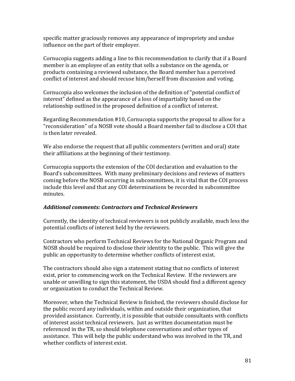specific matter graciously removes any appearance of impropriety and undue influence on the part of their employer.

Cornucopia suggests adding a line to this recommendation to clarify that if a Board member is an employee of an entity that sells a substance on the agenda, or products containing a reviewed substance, the Board member has a perceived conflict of interest and should recuse him/herself from discussion and voting.

Cornucopia also welcomes the inclusion of the definition of "potential conflict of interest" defined as the appearance of a loss of impartiality based on the relationship outlined in the proposed definition of a conflict of interest.

Regarding Recommendation  $#10$ , Cornucopia supports the proposal to allow for a "reconsideration" of a NOSB vote should a Board member fail to disclose a COI that is then later revealed.

We also endorse the request that all public commenters (written and oral) state their affiliations at the beginning of their testimony.

Cornucopia supports the extension of the COI declaration and evaluation to the Board's subcommittees. With many preliminary decisions and reviews of matters coming before the NOSB occurring in subcommittees, it is vital that the COI process include this level and that any COI determinations be recorded in subcommittee minutes.

# *Additional)comments:)Contractors)and)Technical)Reviewers*

Currently, the identity of technical reviewers is not publicly available, much less the potential conflicts of interest held by the reviewers.

Contractors who perform Technical Reviews for the National Organic Program and NOSB should be required to disclose their identity to the public. This will give the public an opportunity to determine whether conflicts of interest exist.

The contractors should also sign a statement stating that no conflicts of interest exist, prior to commencing work on the Technical Review. If the reviewers are unable or unwilling to sign this statement, the USDA should find a different agency or organization to conduct the Technical Review.

Moreover, when the Technical Review is finished, the reviewers should disclose for the public record any individuals, within and outside their organization, that provided assistance. Currently, it is possible that outside consultants with conflicts of interest assist technical reviewers. Just as written documentation must be referenced in the TR, so should telephone conversations and other types of assistance. This will help the public understand who was involved in the TR, and whether conflicts of interest exist.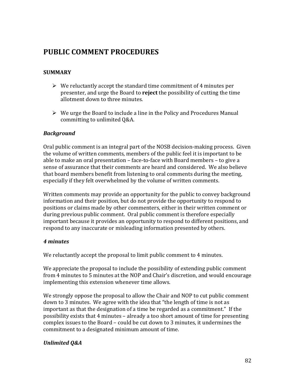# **PUBLIC!COMMENT!PROCEDURES**

# **SUMMARY**

- $\triangleright$  We reluctantly accept the standard time commitment of 4 minutes per presenter, and urge the Board to **reject** the possibility of cutting the time allotment down to three minutes.
- $\triangleright$  We urge the Board to include a line in the Policy and Procedures Manual committing to unlimited Q&A.

#### *Background*

Oral public comment is an integral part of the NOSB decision-making process. Given the volume of written comments, members of the public feel it is important to be able to make an oral presentation – face-to-face with Board members – to give a sense of assurance that their comments are heard and considered. We also believe that board members benefit from listening to oral comments during the meeting, especially if they felt overwhelmed by the volume of written comments.

Written comments may provide an opportunity for the public to convey background information and their position, but do not provide the opportunity to respond to positions or claims made by other commenters, either in their written comment or during previous public comment. Oral public comment is therefore especially important because it provides an opportunity to respond to different positions, and respond to any inaccurate or misleading information presented by others.

#### *4)minutes*

We reluctantly accept the proposal to limit public comment to 4 minutes.

We appreciate the proposal to include the possibility of extending public comment from 4 minutes to 5 minutes at the NOP and Chair's discretion, and would encourage implementing this extension whenever time allows.

We strongly oppose the proposal to allow the Chair and NOP to cut public comment down to 3 minutes. We agree with the idea that "the length of time is not as important as that the designation of a time be regarded as a commitment." If the possibility exists that 4 minutes – already a too short amount of time for presenting complex issues to the Board – could be cut down to 3 minutes, it undermines the commitment to a designated minimum amount of time.

# Unlimited Q&A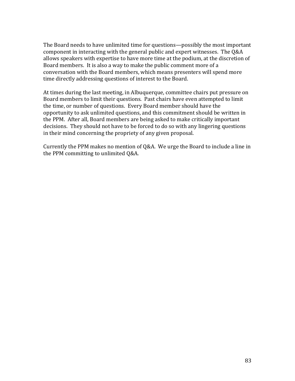The Board needs to have unlimited time for questions—possibly the most important component in interacting with the general public and expert witnesses. The Q&A allows speakers with expertise to have more time at the podium, at the discretion of Board members. It is also a way to make the public comment more of a conversation with the Board members, which means presenters will spend more time directly addressing questions of interest to the Board.

At times during the last meeting, in Albuquerque, committee chairs put pressure on Board members to limit their questions. Past chairs have even attempted to limit the time, or number of questions. Every Board member should have the opportunity to ask unlimited questions, and this commitment should be written in the PPM. After all, Board members are being asked to make critically important decisions. They should not have to be forced to do so with any lingering questions in their mind concerning the propriety of any given proposal.

Currently the PPM makes no mention of Q&A. We urge the Board to include a line in the PPM committing to unlimited Q&A.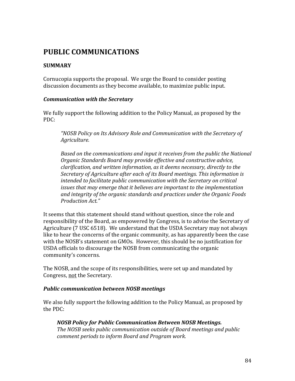# **PUBLIC!COMMUNICATIONS**

# **SUMMARY**

Cornucopia supports the proposal. We urge the Board to consider posting discussion documents as they become available, to maximize public input.

#### *Communication with the Secretary*

We fully support the following addition to the Policy Manual, as proposed by the PDC:

*"NOSB'Policy'on'Its'Advisory'Role'and'Communication'with'the'Secretary'of' Agriculture.'*

Based on the communications and input it receives from the public the National *Organic'Standards'Board'may'provide'effective'and'constructive'advice,' clarification,'and'written'information,'as'it'deems'necessary,'directly'to'the' Secretary'of'Agriculture'after'each'of'its'Board'meetings.'This'information'is' intended'to'facilitate'public'communication'with'the'Secretary'on'critical'* issues that may emerge that it believes are important to the implementation *and'integrity'of'the'organic'standards'and'practices'under'the'Organic'Foods' Production'Act."'*

It seems that this statement should stand without question, since the role and responsibility of the Board, as empowered by Congress, is to advise the Secretary of Agriculture (7 USC 6518). We understand that the USDA Secretary may not always like to hear the concerns of the organic community, as has apparently been the case with the NOSB's statement on GMOs. However, this should be no justification for USDA officials to discourage the NOSB from communicating the organic community's concerns.

The NOSB, and the scope of its responsibilities, were set up and mandated by Congress, not the Secretary.

#### *Public communication between NOSB meetings*

We also fully support the following addition to the Policy Manual, as proposed by the PDC:

#### *NOSB)Policy)for)Public)Communication)Between)NOSB)Meetings.*

*The'NOSB'seeks'public'communication'outside'of'Board'meetings'and'public' comment'periods'to'inform'Board'and'Program'work.*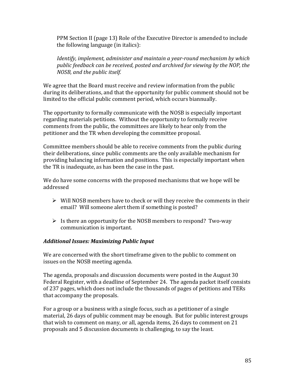PPM Section II (page 13) Role of the Executive Director is amended to include the following language (in italics):

Identify, implement, administer and maintain a year-round mechanism by which *public'feedback'can'be'received,'posted'and'archived'for'viewing'by'the'NOP,'the' NOSB,'and'the'public'itself.*

We agree that the Board must receive and review information from the public during its deliberations, and that the opportunity for public comment should not be limited to the official public comment period, which occurs biannually.

The opportunity to formally communicate with the NOSB is especially important regarding materials petitions. Without the opportunity to formally receive comments from the public, the committees are likely to hear only from the petitioner and the TR when developing the committee proposal.

Committee members should be able to receive comments from the public during their deliberations, since public comments are the only available mechanism for providing balancing information and positions. This is especially important when the TR is inadequate, as has been the case in the past.

We do have some concerns with the proposed mechanisms that we hope will be addressed

- $\triangleright$  Will NOSB members have to check or will they receive the comments in their email? Will someone alert them if something is posted?
- $\triangleright$  Is there an opportunity for the NOSB members to respond? Two-way communication is important.

# *Additional)Issues:)Maximizing)Public)Input*

We are concerned with the short timeframe given to the public to comment on issues on the NOSB meeting agenda.

The agenda, proposals and discussion documents were posted in the August 30 Federal Register, with a deadline of September 24. The agenda packet itself consists of 237 pages, which does not include the thousands of pages of petitions and TERs that accompany the proposals.

For a group or a business with a single focus, such as a petitioner of a single material, 26 days of public comment may be enough. But for public interest groups that wish to comment on many, or all, agenda items, 26 days to comment on 21 proposals and 5 discussion documents is challenging, to say the least.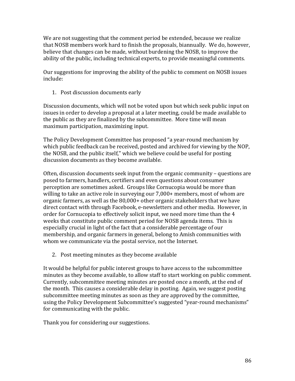We are not suggesting that the comment period be extended, because we realize that NOSB members work hard to finish the proposals, biannually. We do, however, believe that changes can be made, without burdening the NOSB, to improve the ability of the public, including technical experts, to provide meaningful comments.

Our suggestions for improving the ability of the public to comment on NOSB issues include:

1. Post discussion documents early

Discussion documents, which will not be voted upon but which seek public input on issues in order to develop a proposal at a later meeting, could be made available to the public as they are finalized by the subcommittee. More time will mean maximum participation, maximizing input.

The Policy Development Committee has proposed "a year-round mechanism by which public feedback can be received, posted and archived for viewing by the NOP, the NOSB, and the public itself," which we believe could be useful for posting discussion documents as they become available.

Often, discussion documents seek input from the organic community – questions are posed to farmers, handlers, certifiers and even questions about consumer perception are sometimes asked. Groups like Cornucopia would be more than willing to take an active role in surveying our  $7,000+$  members, most of whom are organic farmers, as well as the  $80,000+$  other organic stakeholders that we have direct contact with through Facebook, e-newsletters and other media. However, in order for Cornucopia to effectively solicit input, we need more time than the 4 weeks that constitute public comment period for NOSB agenda items. This is especially crucial in light of the fact that a considerable percentage of our membership, and organic farmers in general, belong to Amish communities with whom we communicate via the postal service, not the Internet.

2. Post meeting minutes as they become available

It would be helpful for public interest groups to have access to the subcommittee minutes as they become available, to allow staff to start working on public comment. Currently, subcommittee meeting minutes are posted once a month, at the end of the month. This causes a considerable delay in posting. Again, we suggest posting subcommittee meeting minutes as soon as they are approved by the committee, using the Policy Development Subcommittee's suggested "year-round mechanisms" for communicating with the public.

Thank you for considering our suggestions.